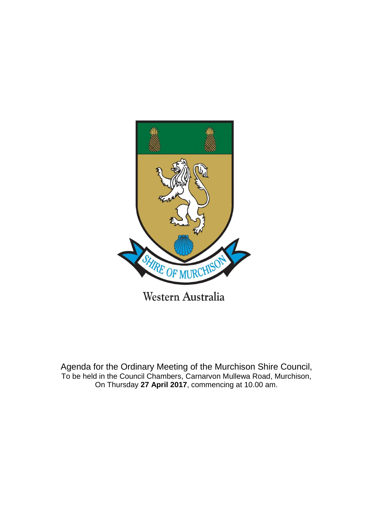

Agenda for the Ordinary Meeting of the Murchison Shire Council, To be held in the Council Chambers, Carnarvon Mullewa Road, Murchison,

On Thursday **27 April 2017**, commencing at 10.00 am.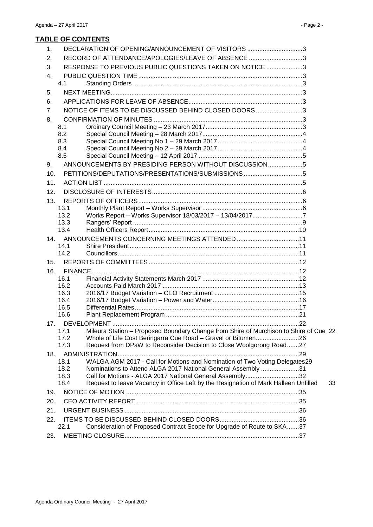# **TABLE OF CONTENTS**

| $\mathbf 1$ . |              | DECLARATION OF OPENING/ANNOUNCEMENT OF VISITORS 3                                     |      |    |
|---------------|--------------|---------------------------------------------------------------------------------------|------|----|
| 2.            |              | RECORD OF ATTENDANCE/APOLOGIES/LEAVE OF ABSENCE 3                                     |      |    |
| 3.            |              | RESPONSE TO PREVIOUS PUBLIC QUESTIONS TAKEN ON NOTICE 3                               |      |    |
| 4.            |              |                                                                                       |      |    |
|               | 4.1          |                                                                                       |      |    |
| 5.            |              |                                                                                       |      |    |
| 6.            |              |                                                                                       |      |    |
| 7.            |              | NOTICE OF ITEMS TO BE DISCUSSED BEHIND CLOSED DOORS3                                  |      |    |
| 8.            |              |                                                                                       |      |    |
|               | 8.1          |                                                                                       |      |    |
|               | 8.2          |                                                                                       |      |    |
|               | 8.3          |                                                                                       |      |    |
|               | 8.4<br>8.5   |                                                                                       |      |    |
|               |              | ANNOUNCEMENTS BY PRESIDING PERSON WITHOUT DISCUSSION5                                 |      |    |
| 9.            |              |                                                                                       |      |    |
| 10.           |              |                                                                                       |      |    |
| 11.           |              |                                                                                       |      |    |
| 12.           |              |                                                                                       |      |    |
| 13.           |              |                                                                                       |      |    |
|               | 13.1<br>13.2 |                                                                                       |      |    |
|               | 13.3         | Works Report - Works Supervisor 18/03/2017 - 13/04/20177                              |      |    |
|               | 13.4         |                                                                                       |      |    |
| 14.           |              |                                                                                       |      |    |
|               | 14.1         |                                                                                       |      |    |
|               | 14.2         |                                                                                       |      |    |
| 15.           |              |                                                                                       |      |    |
| 16.           |              |                                                                                       |      |    |
|               | 16.1         |                                                                                       |      |    |
|               | 16.2         |                                                                                       |      |    |
|               | 16.3         |                                                                                       |      |    |
|               | 16.4<br>16.5 |                                                                                       |      |    |
|               | 16.6         |                                                                                       |      |    |
|               |              | 17. DEVELOPMENT                                                                       | .22  |    |
|               | 17.1         | Mileura Station - Proposed Boundary Change from Shire of Murchison to Shire of Cue 22 |      |    |
|               | 17.2         | Whole of Life Cost Beringarra Cue Road - Gravel or Bitumen26                          |      |    |
|               | 17.3         | Request from DPaW to Reconsider Decision to Close Woolgorong Road27                   |      |    |
| 18.           |              |                                                                                       | . 29 |    |
|               | 18.1         | WALGA AGM 2017 - Call for Motions and Nomination of Two Voting Delegates29            |      |    |
|               | 18.2         | Nominations to Attend ALGA 2017 National General Assembly 31                          |      |    |
|               | 18.3<br>18.4 | Call for Motions - ALGA 2017 National General Assembly32                              |      |    |
|               |              | Request to leave Vacancy in Office Left by the Resignation of Mark Halleen Unfilled   |      | 33 |
| 19.           |              |                                                                                       |      |    |
| 20.           |              |                                                                                       |      |    |
| 21.           |              |                                                                                       |      |    |
| 22.           |              |                                                                                       |      |    |
|               | 22.1         | Consideration of Proposed Contract Scope for Upgrade of Route to SKA37                |      |    |
| 23.           |              |                                                                                       |      |    |
|               |              |                                                                                       |      |    |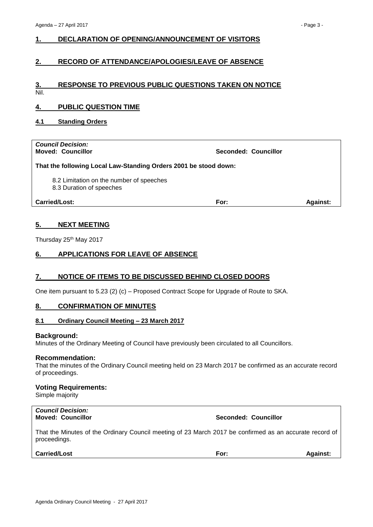# <span id="page-2-0"></span>**1. DECLARATION OF OPENING/ANNOUNCEMENT OF VISITORS**

# <span id="page-2-1"></span>**2. RECORD OF ATTENDANCE/APOLOGIES/LEAVE OF ABSENCE**

# <span id="page-2-2"></span>**3. RESPONSE TO PREVIOUS PUBLIC QUESTIONS TAKEN ON NOTICE**

Nil.

# <span id="page-2-3"></span>**4. PUBLIC QUESTION TIME**

<span id="page-2-4"></span>**4.1 Standing Orders**

# *Council Decision:*

**Moved: Councillor Seconded: Councillor**

## **That the following Local Law-Standing Orders 2001 be stood down:**

8.2 Limitation on the number of speeches

8.3 Duration of speeches

**Carried/Lost: For: Against:**

# <span id="page-2-5"></span>**5. NEXT MEETING**

Thursday 25<sup>th</sup> May 2017

# <span id="page-2-6"></span>**6. APPLICATIONS FOR LEAVE OF ABSENCE**

# <span id="page-2-7"></span>**7. NOTICE OF ITEMS TO BE DISCUSSED BEHIND CLOSED DOORS**

One item pursuant to 5.23 (2) (c) – Proposed Contract Scope for Upgrade of Route to SKA.

## <span id="page-2-8"></span>**8. CONFIRMATION OF MINUTES**

## <span id="page-2-9"></span>**8.1 Ordinary Council Meeting – 23 March 2017**

#### **Background:**

Minutes of the Ordinary Meeting of Council have previously been circulated to all Councillors.

#### **Recommendation:**

That the minutes of the Ordinary Council meeting held on 23 March 2017 be confirmed as an accurate record of proceedings.

#### **Voting Requirements:**

Simple majority

# *Council Decision:*

## **Moved: Councillor Seconded: Councillor**

That the Minutes of the Ordinary Council meeting of 23 March 2017 be confirmed as an accurate record of proceedings.

## **Carried/Lost For: Against:**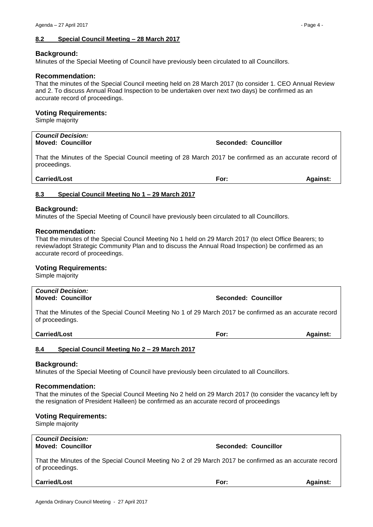## <span id="page-3-0"></span>**Background:**

Minutes of the Special Meeting of Council have previously been circulated to all Councillors.

## **Recommendation:**

That the minutes of the Special Council meeting held on 28 March 2017 (to consider 1. CEO Annual Review and 2. To discuss Annual Road Inspection to be undertaken over next two days) be confirmed as an accurate record of proceedings.

## **Voting Requirements:**

Simple majority

#### *Council Decision:* **Moved: Councillor Seconded: Councillor**

That the Minutes of the Special Council meeting of 28 March 2017 be confirmed as an accurate record of proceedings.

**Carried/Lost For: Against:**

# <span id="page-3-1"></span>**8.3 Special Council Meeting No 1 – 29 March 2017**

# **Background:**

Minutes of the Special Meeting of Council have previously been circulated to all Councillors.

## **Recommendation:**

That the minutes of the Special Council Meeting No 1 held on 29 March 2017 (to elect Office Bearers; to review/adopt Strategic Community Plan and to discuss the Annual Road Inspection) be confirmed as an accurate record of proceedings.

## **Voting Requirements:**

Simple majority

*Council Decision:*

That the Minutes of the Special Council Meeting No 1 of 29 March 2017 be confirmed as an accurate record of proceedings.

**Carried/Lost For: Against:**

# <span id="page-3-2"></span>**8.4 Special Council Meeting No 2 – 29 March 2017**

## **Background:**

Minutes of the Special Meeting of Council have previously been circulated to all Councillors.

## **Recommendation:**

That the minutes of the Special Council Meeting No 2 held on 29 March 2017 (to consider the vacancy left by the resignation of President Halleen) be confirmed as an accurate record of proceedings

# **Voting Requirements:**

Simple majority

*Council Decision:*

## **Moved: Councillor Seconded: Councillor**

**Moved: Councillor Seconded: Councillor**

That the Minutes of the Special Council Meeting No 2 of 29 March 2017 be confirmed as an accurate record of proceedings.

**Carried/Lost For: Against:**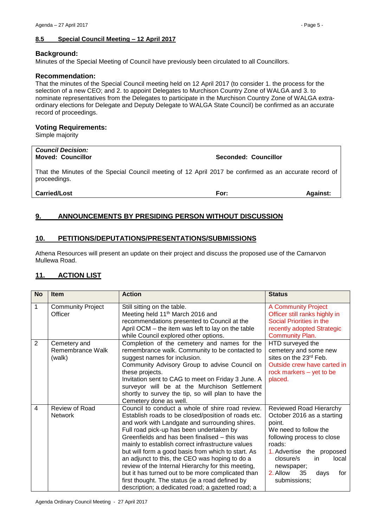## <span id="page-4-0"></span>**8.5 Special Council Meeting – 12 April 2017**

#### **Background:**

Minutes of the Special Meeting of Council have previously been circulated to all Councillors.

#### **Recommendation:**

That the minutes of the Special Council meeting held on 12 April 2017 (to consider 1. the process for the selection of a new CEO; and 2. to appoint Delegates to Murchison Country Zone of WALGA and 3. to nominate representatives from the Delegates to participate in the Murchison Country Zone of WALGA extraordinary elections for Delegate and Deputy Delegate to WALGA State Council) be confirmed as an accurate record of proceedings.

## **Voting Requirements:**

Simple majority

# *Council Decision:*

**Moved: Councillor Seconded: Councillor**

That the Minutes of the Special Council meeting of 12 April 2017 be confirmed as an accurate record of proceedings.

#### **Carried/Lost For: Against:**

# <span id="page-4-1"></span>**9. ANNOUNCEMENTS BY PRESIDING PERSON WITHOUT DISCUSSION**

# <span id="page-4-2"></span>**10. PETITIONS/DEPUTATIONS/PRESENTATIONS/SUBMISSIONS**

Athena Resources will present an update on their project and discuss the proposed use of the Carnarvon Mullewa Road.

# <span id="page-4-3"></span>**11. ACTION LIST**

| <b>No</b>               | <b>Item</b>                                | <b>Action</b>                                                                                                                                                                                                                                                                                                                                                                                                                                                                                                                                                                                                                          | <b>Status</b>                                                                                                                                                                                                                                             |
|-------------------------|--------------------------------------------|----------------------------------------------------------------------------------------------------------------------------------------------------------------------------------------------------------------------------------------------------------------------------------------------------------------------------------------------------------------------------------------------------------------------------------------------------------------------------------------------------------------------------------------------------------------------------------------------------------------------------------------|-----------------------------------------------------------------------------------------------------------------------------------------------------------------------------------------------------------------------------------------------------------|
| $\mathbf{1}$            | <b>Community Project</b><br>Officer        | Still sitting on the table.<br>Meeting held 11 <sup>th</sup> March 2016 and<br>recommendations presented to Council at the<br>April OCM – the item was left to lay on the table<br>while Council explored other options.                                                                                                                                                                                                                                                                                                                                                                                                               | <b>A Community Project</b><br>Officer still ranks highly in<br>Social Priorities in the<br>recently adopted Strategic<br><b>Community Plan.</b>                                                                                                           |
| 2                       | Cemetery and<br>Remembrance Walk<br>(walk) | Completion of the cemetery and names for the<br>remembrance walk. Community to be contacted to<br>suggest names for inclusion.<br>Community Advisory Group to advise Council on<br>these projects.<br>Invitation sent to CAG to meet on Friday 3 June. A<br>surveyor will be at the Murchison Settlement<br>shortly to survey the tip, so will plan to have the<br>Cemetery done as well.                                                                                                                                                                                                                                              | HTD surveyed the<br>cemetery and some new<br>sites on the 23 <sup>rd</sup> Feb.<br>Outside crew have carted in<br>rock markers – yet to be<br>placed.                                                                                                     |
| $\overline{\mathbf{4}}$ | Review of Road<br><b>Network</b>           | Council to conduct a whole of shire road review.<br>Establish roads to be closed/position of roads etc.<br>and work with Landgate and surrounding shires.<br>Full road pick-up has been undertaken by<br>Greenfields and has been finalised – this was<br>mainly to establish correct infrastructure values<br>but will form a good basis from which to start. As<br>an adjunct to this, the CEO was hoping to do a<br>review of the Internal Hierarchy for this meeting,<br>but it has turned out to be more complicated than<br>first thought. The status (ie a road defined by<br>description; a dedicated road; a gazetted road; a | Reviewed Road Hierarchy<br>October 2016 as a starting<br>point.<br>We need to follow the<br>following process to close<br>roads:<br>1. Advertise the proposed<br>closure/s<br>local<br>in.<br>newspaper;<br>2. Allow<br>35<br>for<br>days<br>submissions; |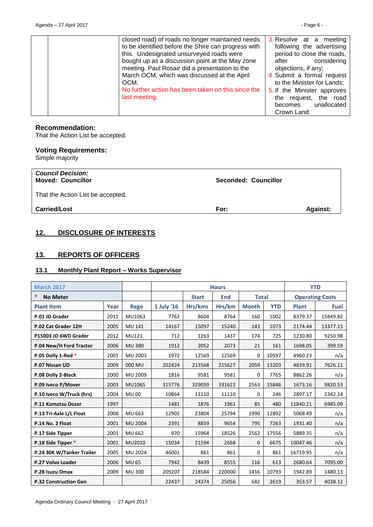| closed road) of roads no longer maintained needs    | 3. Resolve at a meeting     |
|-----------------------------------------------------|-----------------------------|
| to be identified before the Shire can progress with | following the advertising   |
| this. Undesignated unsurveyed roads were            | period to close the roads,  |
| bought up as a discussion point at the May zone     | considering<br>after        |
| meeting. Paul Rosair did a presentation to the      | objections, if any;         |
| March OCM, which was discussed at the April         | 4. Submit a formal request  |
| OCM.                                                | to the Minister for Lands;  |
| No further action has been taken on this since the  | 5. If the Minister approves |
| last meeting.                                       | the request, the road       |
|                                                     | unallocated<br>becomes      |
|                                                     | Crown Land.                 |
|                                                     |                             |

# **Recommendation:**

That the Action List be accepted.

# **Voting Requirements:**

Simple majority

| <b>Council Decision:</b><br><b>Moved: Councillor</b> | Seconded: Councillor |                 |
|------------------------------------------------------|----------------------|-----------------|
| That the Action List be accepted.                    |                      |                 |
| <b>Carried/Lost</b>                                  | For:                 | <b>Against:</b> |

# <span id="page-5-0"></span>**12. DISCLOSURE OF INTERESTS**

# <span id="page-5-1"></span>**13. REPORTS OF OFFICERS**

# <span id="page-5-2"></span>**13.1 Monthly Plant Report – Works Supervisor**

| <b>March 2017</b>            |      | <b>Hours</b>   |              |            |              | <b>YTD</b>   |            |                        |             |
|------------------------------|------|----------------|--------------|------------|--------------|--------------|------------|------------------------|-------------|
| *<br><b>No Meter</b>         |      |                | <b>Start</b> | <b>End</b> | <b>Total</b> |              |            | <b>Operating Costs</b> |             |
| <b>Plant Item</b>            | Year | <b>Rego</b>    | 1 July '16   | Hrs/kms    | Hrs/km       | <b>Month</b> | <b>YTD</b> | <b>Plant</b>           | <b>Fuel</b> |
| P.01 JD Grader               | 2011 | MU1063         | 7762         | 8604       | 8764         | 160          | 1002       | 8379.37                | 15849.82    |
| P.02 Cat Grader 12H          | 2005 | MU 141         | 14167        | 15097      | 15240        | 143          | 1073       | 2174.44                | 13377.15    |
| P15003 JD 6WD Grader         | 2012 | MU121          | 712          | 1263       | 1437         | 174          | 725        | 1230.80                | 9250.98     |
| P.04 New/H Ford Tractor      | 2006 | <b>MU380</b>   | 1912         | 2052       | 2073         | 21           | 161        | 1698.05                | 399.59      |
| P.05 Dolly 1-Red *           | 2001 | MU 2003        | 1972         | 12569      | 12569        | $\Omega$     | 10597      | 4960.23                | n/a         |
| P.07 Nissan UD               | 2009 | 000 MU         | 202424       | 213568     | 215627       | 2059         | 13203      | 4839.91                | 7626.11     |
| P.08 Dolly 2-Black           | 2000 | MU 2009        | 1816         | 9581       | 9581         | $\Omega$     | 7765       | 8862.26                | n/a         |
| P.09 Iveco P/Mover           | 2003 | MU1065         | 315776       | 329059     | 331622       | 2563         | 15846      | 1673.16                | 9820.53     |
| P.10 Iveco W/Truck (hrs)     | 2004 | <b>MU00</b>    | 10864        | 11110      | 11110        | $\Omega$     | 246        | 2897.17                | 2342.14     |
| P.11 Komatsu Dozer           | 1997 |                | 1481         | 1876       | 1961         | 85           | 480        | 11840.21               | 6985.09     |
| P.13 Tri-Axle L/L Float      | 2008 | MU 663         | 12902        | 23804      | 25794        | 1990         | 12892      | 5068.49                | n/a         |
| P.14 No. 2 Float             | 2001 | <b>MU 2004</b> | 2391         | 8859       | 9654         | 795          | 7263       | 1931.40                | n/a         |
| P.17 Side Tipper             | 2001 | MU 662         | 970          | 15964      | 18526        | 2562         | 17556      | 5889.35                | n/a         |
| P.18 Side Tipper *           | 2001 | MU2010         | 15034        | 21594      | 2668         | $\Omega$     | 6675       | 10047.46               | n/a         |
| P.24 30K W/Tanker Trailer    | 2005 | MU 2024        | 46001        | 861        | 861          | 0            | 861        | 16719.95               | n/a         |
| P.27 Volvo Loader            | 2006 | <b>MU 65</b>   | 7942         | 8439       | 8555         | 116          | 613        | 2680.64                | 7095.00     |
| P.28 Isuzu Dmax              | 2009 | <b>MU300</b>   | 209207       | 218584     | 220000       | 1416         | 10793      | 1942.89                | 1480.13     |
| <b>P.32 Construction Gen</b> |      |                | 22437        | 24374      | 25056        | 682          | 2619       | 353.57                 | 4038.12     |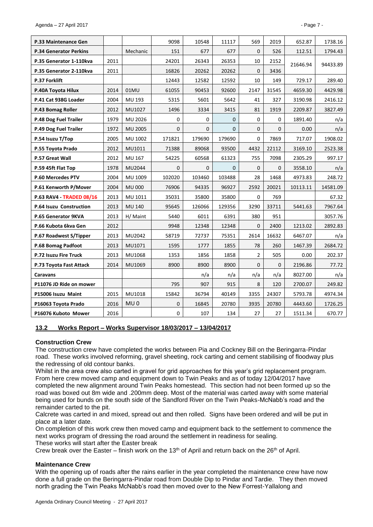| P.33 Maintenance Gen            |      |                 | 9098         | 10548        | 11117    | 569            | 2019         | 652.87   | 1738.16  |
|---------------------------------|------|-----------------|--------------|--------------|----------|----------------|--------------|----------|----------|
| <b>P.34 Generator Perkins</b>   |      | Mechanic        | 151          | 677          | 677      | $\mathbf 0$    | 526          | 112.51   | 1794.43  |
| P.35 Generator 1-110kva         | 2011 |                 | 24201        | 26343        | 26353    | 10             | 2152         | 21646.94 | 94433.89 |
| P.35 Generator 2-110kva         | 2011 |                 | 16826        | 20262        | 20262    | $\mathbf 0$    | 3436         |          |          |
| <b>P.37 Forklift</b>            |      |                 | 12443        | 12582        | 12592    | 10             | 149          | 729.17   | 289.40   |
| P.40A Toyota Hilux              | 2014 | 01MU            | 61055        | 90453        | 92600    | 2147           | 31545        | 4659.30  | 4429.98  |
| P.41 Cat 938G Loader            | 2004 | MU 193          | 5315         | 5601         | 5642     | 41             | 327          | 3190.98  | 2416.12  |
| P.43 Bomag Roller               | 2012 | MU1027          | 1496         | 3334         | 3415     | 81             | 1919         | 2209.87  | 3827.49  |
| P.48 Dog Fuel Trailer           | 1979 | MU 2026         | 0            | 0            | 0        | $\mathbf 0$    | 0            | 1891.40  | n/a      |
| P.49 Dog Fuel Trailer           | 1972 | <b>MU 2005</b>  | 0            | $\mathbf{0}$ | $\Omega$ | $\mathbf{0}$   | $\mathbf{0}$ | 0.00     | n/a      |
| P.54 Isuzu T/Top                | 2005 | MU 1002         | 171821       | 179690       | 179690   | $\Omega$       | 7869         | 717.07   | 1908.02  |
| P.55 Toyota Prado               | 2012 | MU1011          | 71388        | 89068        | 93500    | 4432           | 22112        | 3169.10  | 2523.38  |
| <b>P.57 Great Wall</b>          | 2012 | MU 167          | 54225        | 60568        | 61323    | 755            | 7098         | 2305.29  | 997.17   |
| P.59 45ft Flat Top              | 1978 | MU2044          | $\mathbf{0}$ | $\mathbf{0}$ | 0        | $\mathbf{0}$   | $\mathbf{0}$ | 3558.10  | n/a      |
| P.60 Mercedes PTV               | 2004 | MU 1009         | 102020       | 103460       | 103488   | 28             | 1468         | 4973.83  | 248.72   |
| P.61 Kenworth P/Mover           | 2004 | <b>MU 000</b>   | 76906        | 94335        | 96927    | 2592           | 20021        | 10113.11 | 14581.09 |
| <b>P.63 RAV4 - TRADED 08/16</b> | 2013 | MU 1011         | 35031        | 35800        | 35800    | $\Omega$       | 769          |          | 67.32    |
| P.64 Isuzu Construction         | 2013 | MU 140          | 95645        | 126066       | 129356   | 3290           | 33711        | 5441.63  | 7967.64  |
| P.65 Generator 9KVA             | 2013 | H/ Maint        | 5440         | 6011         | 6391     | 380            | 951          |          | 3057.76  |
| P.66 Kubota 6kva Gen            | 2012 |                 | 9948         | 12348        | 12348    | $\mathbf{0}$   | 2400         | 1213.02  | 2892.83  |
| P.67 Roadwest S/Tipper          | 2013 | MU2042          | 58719        | 72737        | 75351    | 2614           | 16632        | 6467.07  | n/a      |
| P.68 Bomag Padfoot              | 2013 | MU1071          | 1595         | 1777         | 1855     | 78             | 260          | 1467.39  | 2684.72  |
| P.72 Isuzu Fire Truck           | 2013 | MU1068          | 1353         | 1856         | 1858     | $\overline{2}$ | 505          | 0.00     | 202.37   |
| P.73 Toyota Fast Attack         | 2014 | MU1069          | 8900         | 8900         | 8900     | $\mathbf{0}$   | $\mathbf{0}$ | 2196.86  | 77.72    |
| Caravans                        |      |                 |              | n/a          | n/a      | n/a            | n/a          | 8027.00  | n/a      |
| P11076 JD Ride on mower         |      |                 | 795          | 907          | 915      | 8              | 120          | 2700.07  | 249.82   |
| P15006 Isuzu Maint              | 2015 | MU1018          | 15842        | 36794        | 40149    | 3355           | 24307        | 5793.78  | 4974.34  |
| P16063 Toyota Prado             | 2016 | MU <sub>0</sub> | $\mathbf{0}$ | 16845        | 20780    | 3935           | 20780        | 4443.60  | 1726.25  |
| P16076 Kuboto Mower             | 2016 |                 | 0            | 107          | 134      | 27             | 27           | 1511.34  | 670.77   |

# <span id="page-6-0"></span>**13.2 Works Report – Works Supervisor 18/03/2017 – 13/04/2017**

## **Construction Crew**

The construction crew have completed the works between Pia and Cockney Bill on the Beringarra-Pindar road. These works involved reforming, gravel sheeting, rock carting and cement stabilising of floodway plus the redressing of old contour banks.

Whilst in the area crew also carted in gravel for grid approaches for this year's grid replacement program. From here crew moved camp and equipment down to Twin Peaks and as of today 12/04/2017 have completed the new alignment around Twin Peaks homestead. This section had not been formed up so the road was boxed out 8m wide and .200mm deep. Most of the material was carted away with some material being used for bunds on the south side of the Sandford River on the Twin Peaks-McNabb's road and the remainder carted to the pit.

Calcrete was carted in and mixed, spread out and then rolled. Signs have been ordered and will be put in place at a later date.

On completion of this work crew then moved camp and equipment back to the settlement to commence the next works program of dressing the road around the settlement in readiness for sealing.

These works will start after the Easter break

Crew break over the Easter – finish work on the 13<sup>th</sup> of April and return back on the 26<sup>th</sup> of April.

## **Maintenance Crew**

With the opening up of roads after the rains earlier in the year completed the maintenance crew have now done a full grade on the Beringarra-Pindar road from Double Dip to Pindar and Tardie. They then moved north grading the Twin Peaks McNabb's road then moved over to the New Forrest-Yallalong and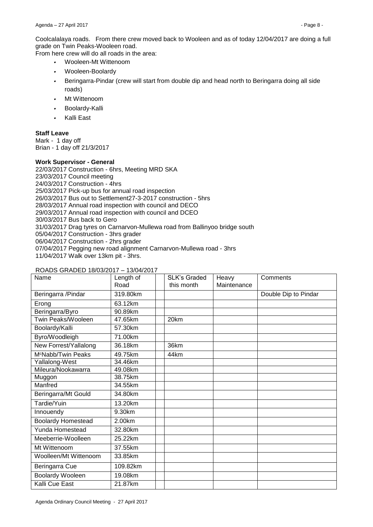Coolcalalaya roads. From there crew moved back to Wooleen and as of today 12/04/2017 are doing a full grade on Twin Peaks-Wooleen road.

From here crew will do all roads in the area:

- *•* Wooleen-Mt Wittenoom
- *•* Wooleen-Boolardy
- *•* Beringarra-Pindar (crew will start from double dip and head north to Beringarra doing all side roads)
- *•* Mt Wittenoom
- *•* Boolardy-Kalli
- *•* Kalli East

# **Staff Leave**

Mark - 1 day off Brian - 1 day off 21/3/2017

## **Work Supervisor - General**

22/03/2017 Construction - 6hrs, Meeting MRD SKA 23/03/2017 Council meeting 24/03/2017 Construction - 4hrs 25/03/2017 Pick-up bus for annual road inspection 26/03/2017 Bus out to Settlement27-3-2017 construction - 5hrs 28/03/2017 Annual road inspection with council and DECO 29/03/2017 Annual road inspection with council and DCEO 30/03/2017 Bus back to Gero 31/03/2017 Drag tyres on Carnarvon-Mullewa road from Ballinyoo bridge south 05/04/2017 Construction - 3hrs grader 06/04/2017 Construction - 2hrs grader 07/04/2017 Pegging new road alignment Carnarvon-Mullewa road - 3hrs 11/04/2017 Walk over 13km pit - 3hrs.

## ROADS GRADED 18/03/2017 – 13/04/2017

| Name                           | Length of<br>Road | <b>SLK's Graded</b><br>this month | Heavy<br>Maintenance | Comments             |
|--------------------------------|-------------------|-----------------------------------|----------------------|----------------------|
| Beringarra / Pindar            | 319.80km          |                                   |                      | Double Dip to Pindar |
| Erong                          | 63.12km           |                                   |                      |                      |
| Beringarra/Byro                | 90.89km           |                                   |                      |                      |
| Twin Peaks/Wooleen             | 47.65km           | 20km                              |                      |                      |
| Boolardy/Kalli                 | 57.30km           |                                   |                      |                      |
| Byro/Woodleigh                 | 71.00km           |                                   |                      |                      |
| New Forrest/Yallalong          | 36.18km           | 36km                              |                      |                      |
| M <sup>c</sup> Nabb/Twin Peaks | 49.75km           | 44km                              |                      |                      |
| Yallalong-West                 | 34.46km           |                                   |                      |                      |
| Mileura/Nookawarra             | 49.08km           |                                   |                      |                      |
| Muggon                         | 38.75km           |                                   |                      |                      |
| Manfred                        | 34.55km           |                                   |                      |                      |
| Beringarra/Mt Gould            | 34.80km           |                                   |                      |                      |
| Tardie/Yuin                    | 13.20km           |                                   |                      |                      |
| Innouendy                      | 9.30km            |                                   |                      |                      |
| <b>Boolardy Homestead</b>      | 2.00km            |                                   |                      |                      |
| Yunda Homestead                | 32.80km           |                                   |                      |                      |
| Meeberrie-Woolleen             | 25.22km           |                                   |                      |                      |
| Mt Wittenoom                   | 37.55km           |                                   |                      |                      |
| Woolleen/Mt Wittenoom          | 33.85km           |                                   |                      |                      |
| Beringarra Cue                 | 109.82km          |                                   |                      |                      |
| <b>Boolardy Wooleen</b>        | 19.08km           |                                   |                      |                      |
| Kalli Cue East                 | 21.87km           |                                   |                      |                      |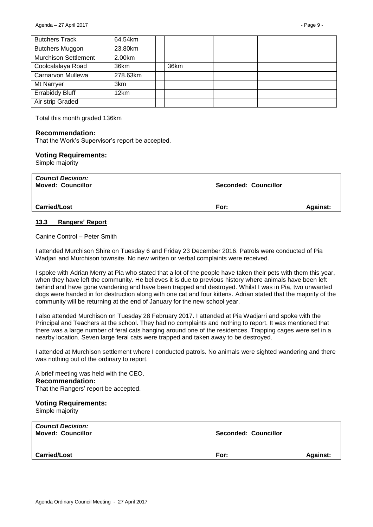| <b>Butchers Track</b>       | 64.54km  |      |  |
|-----------------------------|----------|------|--|
| <b>Butchers Muggon</b>      | 23.80km  |      |  |
| <b>Murchison Settlement</b> | 2.00km   |      |  |
| Coolcalalaya Road           | 36km     | 36km |  |
| Carnarvon Mullewa           | 278.63km |      |  |
| Mt Narryer                  | 3km      |      |  |
| <b>Errabiddy Bluff</b>      | 12km     |      |  |
| Air strip Graded            |          |      |  |

Total this month graded 136km

#### **Recommendation:**

That the Work's Supervisor's report be accepted.

#### **Voting Requirements:**

Simple majority

| <b>Council Decision:</b><br><b>Moved: Councillor</b> | Seconded: Councillor |                 |
|------------------------------------------------------|----------------------|-----------------|
| <b>Carried/Lost</b>                                  | For:                 | <b>Against:</b> |

#### <span id="page-8-0"></span>**13.3 Rangers' Report**

Canine Control – Peter Smith

I attended Murchison Shire on Tuesday 6 and Friday 23 December 2016. Patrols were conducted of Pia Wadjari and Murchison townsite. No new written or verbal complaints were received.

I spoke with Adrian Merry at Pia who stated that a lot of the people have taken their pets with them this year, when they have left the community. He believes it is due to previous history where animals have been left behind and have gone wandering and have been trapped and destroyed. Whilst I was in Pia, two unwanted dogs were handed in for destruction along with one cat and four kittens. Adrian stated that the majority of the community will be returning at the end of January for the new school year.

I also attended Murchison on Tuesday 28 February 2017. I attended at Pia Wadjarri and spoke with the Principal and Teachers at the school. They had no complaints and nothing to report. It was mentioned that there was a large number of feral cats hanging around one of the residences. Trapping cages were set in a nearby location. Seven large feral cats were trapped and taken away to be destroyed.

I attended at Murchison settlement where I conducted patrols. No animals were sighted wandering and there was nothing out of the ordinary to report.

A brief meeting was held with the CEO. **Recommendation:** That the Rangers' report be accepted.

#### **Voting Requirements:**

Simple majority

| <b>Council Decision:</b><br><b>Moved: Councillor</b> | <b>Seconded: Councillor</b> |                 |
|------------------------------------------------------|-----------------------------|-----------------|
| <b>Carried/Lost</b>                                  | For:                        | <b>Against:</b> |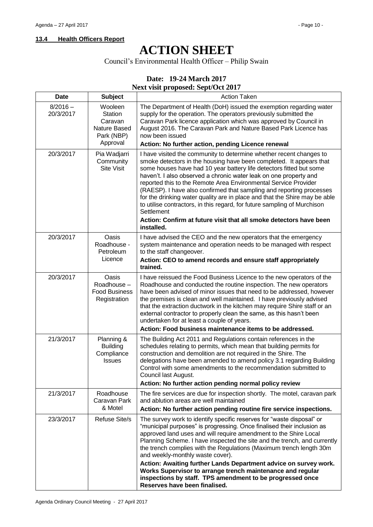# <span id="page-9-0"></span>**13.4 Health Officers Report**

# **ACTION SHEET**

Council's Environmental Health Officer – Philip Swain

# **Date: 19-24 March 2017**

# **Next visit proposed: Sept/Oct 2017**

| <b>Date</b>             | <b>Subject</b>                                                          | <b>Action Taken</b>                                                                                                                                                                                                                                                                                                                                                                                                                                                                                                                                                                                                                                                                           |
|-------------------------|-------------------------------------------------------------------------|-----------------------------------------------------------------------------------------------------------------------------------------------------------------------------------------------------------------------------------------------------------------------------------------------------------------------------------------------------------------------------------------------------------------------------------------------------------------------------------------------------------------------------------------------------------------------------------------------------------------------------------------------------------------------------------------------|
| $8/2016 -$<br>20/3/2017 | Wooleen<br>Station<br>Caravan<br>Nature Based<br>Park (NBP)<br>Approval | The Department of Health (DoH) issued the exemption regarding water<br>supply for the operation. The operators previously submitted the<br>Caravan Park licence application which was approved by Council in<br>August 2016. The Caravan Park and Nature Based Park Licence has<br>now been issued<br>Action: No further action, pending Licence renewal                                                                                                                                                                                                                                                                                                                                      |
| 20/3/2017               | Pia Wadjarri<br>Community<br>Site Visit                                 | I have visited the community to determine whether recent changes to<br>smoke detectors in the housing have been completed. It appears that<br>some houses have had 10 year battery life detectors fitted but some<br>haven't. I also observed a chronic water leak on one property and<br>reported this to the Remote Area Environmental Service Provider<br>(RAESP). I have also confirmed that sampling and reporting processes<br>for the drinking water quality are in place and that the Shire may be able<br>to utilise contractors, in this regard, for future sampling of Murchison<br>Settlement<br>Action: Confirm at future visit that all smoke detectors have been<br>installed. |
| 20/3/2017               | Oasis<br>Roadhouse -<br>Petroleum<br>Licence                            | I have advised the CEO and the new operators that the emergency<br>system maintenance and operation needs to be managed with respect<br>to the staff changeover.<br>Action: CEO to amend records and ensure staff appropriately<br>trained.                                                                                                                                                                                                                                                                                                                                                                                                                                                   |
| 20/3/2017               | Oasis<br>Roadhouse-<br><b>Food Business</b><br>Registration             | I have reissued the Food Business Licence to the new operators of the<br>Roadhouse and conducted the routine inspection. The new operators<br>have been advised of minor issues that need to be addressed, however<br>the premises is clean and well maintained. I have previously advised<br>that the extraction ductwork in the kitchen may require Shire staff or an<br>external contractor to properly clean the same, as this hasn't been<br>undertaken for at least a couple of years.<br>Action: Food business maintenance items to be addressed.                                                                                                                                      |
| 21/3/2017               | Planning &<br><b>Building</b><br>Compliance<br><b>Issues</b>            | The Building Act 2011 and Regulations contain references in the<br>schedules relating to permits, which mean that building permits for<br>construction and demolition are not required in the Shire. The<br>delegations have been amended to amend policy 3.1 regarding Building<br>Control with some amendments to the recommendation submitted to<br>Council last August.<br>Action: No further action pending normal policy review                                                                                                                                                                                                                                                         |
| 21/3/2017               | Roadhouse<br>Caravan Park<br>& Motel                                    | The fire services are due for inspection shortly. The motel, caravan park<br>and ablution areas are well maintained<br>Action: No further action pending routine fire service inspections.                                                                                                                                                                                                                                                                                                                                                                                                                                                                                                    |
| 23/3/2017               | <b>Refuse Site/s</b>                                                    | The survey work to identify specific reserves for "waste disposal" or<br>"municipal purposes" is progressing. Once finalised their inclusion as<br>approved land uses and will require amendment to the Shire Local<br>Planning Scheme. I have inspected the site and the trench, and currently<br>the trench complies with the Regulations (Maximum trench length 30m<br>and weekly-monthly waste cover).<br>Action: Awaiting further Lands Department advice on survey work.<br>Works Supervisor to arrange trench maintenance and regular<br>inspections by staff. TPS amendment to be progressed once<br>Reserves have been finalised.                                                    |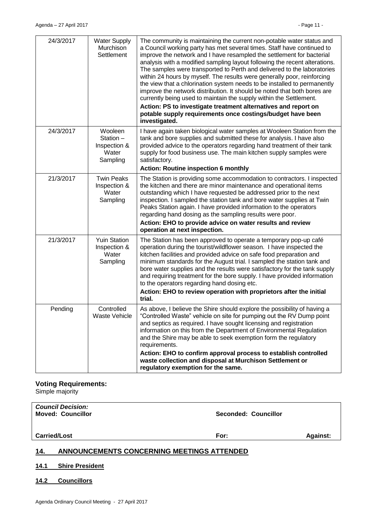| 24/3/2017 | <b>Water Supply</b><br>Murchison<br>Settlement           | The community is maintaining the current non-potable water status and<br>a Council working party has met several times. Staff have continued to<br>improve the network and I have resampled the settlement for bacterial<br>analysis with a modified sampling layout following the recent alterations.<br>The samples were transported to Perth and delivered to the laboratories<br>within 24 hours by myself. The results were generally poor, reinforcing<br>the view that a chlorination system needs to be installed to permanently<br>improve the network distribution. It should be noted that both bores are<br>currently being used to maintain the supply within the Settlement.<br>Action: PS to investigate treatment alternatives and report on<br>potable supply requirements once costings/budget have been<br>investigated. |
|-----------|----------------------------------------------------------|---------------------------------------------------------------------------------------------------------------------------------------------------------------------------------------------------------------------------------------------------------------------------------------------------------------------------------------------------------------------------------------------------------------------------------------------------------------------------------------------------------------------------------------------------------------------------------------------------------------------------------------------------------------------------------------------------------------------------------------------------------------------------------------------------------------------------------------------|
| 24/3/2017 | Wooleen<br>Station-<br>Inspection &<br>Water<br>Sampling | I have again taken biological water samples at Wooleen Station from the<br>tank and bore supplies and submitted these for analysis. I have also<br>provided advice to the operators regarding hand treatment of their tank<br>supply for food business use. The main kitchen supply samples were<br>satisfactory.<br><b>Action: Routine inspection 6 monthly</b>                                                                                                                                                                                                                                                                                                                                                                                                                                                                            |
| 21/3/2017 | <b>Twin Peaks</b><br>Inspection &<br>Water<br>Sampling   | The Station is providing some accommodation to contractors. I inspected<br>the kitchen and there are minor maintenance and operational items<br>outstanding which I have requested be addressed prior to the next<br>inspection. I sampled the station tank and bore water supplies at Twin<br>Peaks Station again. I have provided information to the operators<br>regarding hand dosing as the sampling results were poor.<br>Action: EHO to provide advice on water results and review<br>operation at next inspection.                                                                                                                                                                                                                                                                                                                  |
| 21/3/2017 | <b>Yuin Station</b><br>Inspection &<br>Water<br>Sampling | The Station has been approved to operate a temporary pop-up café<br>operation during the tourist/wildflower season. I have inspected the<br>kitchen facilities and provided advice on safe food preparation and<br>minimum standards for the August trial. I sampled the station tank and<br>bore water supplies and the results were satisfactory for the tank supply<br>and requiring treatment for the bore supply. I have provided information<br>to the operators regarding hand dosing etc.<br>Action: EHO to review operation with proprietors after the initial<br>trial.                                                                                                                                                                                                                                                           |
| Pending   | Controlled<br>Waste Vehicle                              | As above, I believe the Shire should explore the possibility of having a<br>"Controlled Waste" vehicle on site for pumping out the RV Dump point<br>and septics as required. I have sought licensing and registration<br>information on this from the Department of Environmental Regulation<br>and the Shire may be able to seek exemption form the regulatory<br>requirements.<br>Action: EHO to confirm approval process to establish controlled<br>waste collection and disposal at Murchison Settlement or<br>regulatory exemption for the same.                                                                                                                                                                                                                                                                                       |

# **Voting Requirements:**

Simple majority

| <b>Council Decision:</b><br><b>Moved: Councillor</b> | Seconded: Councillor |                 |
|------------------------------------------------------|----------------------|-----------------|
| <b>Carried/Lost</b>                                  | For:                 | <b>Against:</b> |

# <span id="page-10-0"></span>**14. ANNOUNCEMENTS CONCERNING MEETINGS ATTENDED**

<span id="page-10-1"></span>**14.1 Shire President**

<span id="page-10-2"></span>**14.2 Councillors**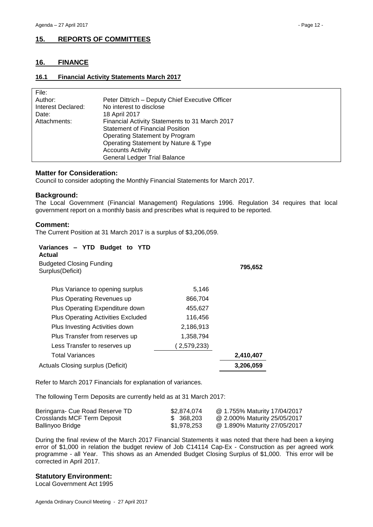# <span id="page-11-0"></span>**15. REPORTS OF COMMITTEES**

## <span id="page-11-1"></span>**16. FINANCE**

#### <span id="page-11-2"></span>**16.1 Financial Activity Statements March 2017**

| File:              |                                                 |
|--------------------|-------------------------------------------------|
| Author:            | Peter Dittrich - Deputy Chief Executive Officer |
| Interest Declared: | No interest to disclose                         |
| Date:              | 18 April 2017                                   |
| Attachments:       | Financial Activity Statements to 31 March 2017  |
|                    | <b>Statement of Financial Position</b>          |
|                    | Operating Statement by Program                  |
|                    | Operating Statement by Nature & Type            |
|                    | <b>Accounts Activity</b>                        |
|                    | <b>General Ledger Trial Balance</b>             |

#### **Matter for Consideration:**

Council to consider adopting the Monthly Financial Statements for March 2017.

#### **Background:**

The Local Government (Financial Management) Regulations 1996. Regulation 34 requires that local government report on a monthly basis and prescribes what is required to be reported.

#### **Comment:**

The Current Position at 31 March 2017 is a surplus of \$3,206,059.

| Variances - YTD Budget to YTD<br>Actual             |             |           |
|-----------------------------------------------------|-------------|-----------|
| <b>Budgeted Closing Funding</b><br>Surplus(Deficit) |             | 795,652   |
| Plus Variance to opening surplus                    | 5,146       |           |
| Plus Operating Revenues up                          | 866,704     |           |
| Plus Operating Expenditure down                     | 455,627     |           |
| <b>Plus Operating Activities Excluded</b>           | 116,456     |           |
| Plus Investing Activities down                      | 2,186,913   |           |
| Plus Transfer from reserves up                      | 1,358,794   |           |
| Less Transfer to reserves up                        | (2,579,233) |           |
| Total Variances                                     |             | 2,410,407 |
| Actuals Closing surplus (Deficit)                   |             | 3,206,059 |

Refer to March 2017 Financials for explanation of variances.

The following Term Deposits are currently held as at 31 March 2017:

| Beringarra- Cue Road Reserve TD | \$2.874.074 | @ 1.755% Maturity 17/04/2017 |
|---------------------------------|-------------|------------------------------|
| Crosslands MCF Term Deposit     | \$ 368,203  | @ 2.000% Maturity 25/05/2017 |
| Ballinyoo Bridge                | \$1,978,253 | @ 1.890% Maturity 27/05/2017 |

During the final review of the March 2017 Financial Statements it was noted that there had been a keying error of \$1,000 in relation the budget review of Job C14114 Cap-Ex - Construction as per agreed work programme - all Year. This shows as an Amended Budget Closing Surplus of \$1,000. This error will be corrected in April 2017.

## **Statutory Environment:**

Local Government Act 1995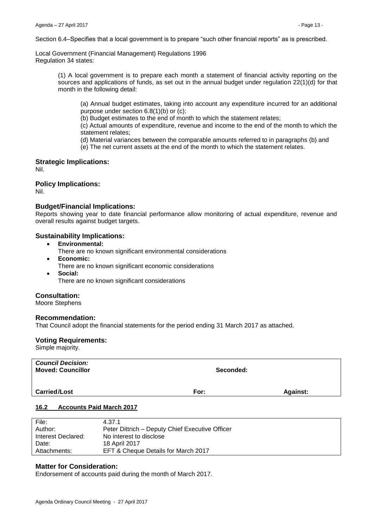Section 6.4–Specifies that a local government is to prepare "such other financial reports" as is prescribed.

Local Government (Financial Management) Regulations 1996 Regulation 34 states:

> (1) A local government is to prepare each month a statement of financial activity reporting on the sources and applications of funds, as set out in the annual budget under regulation 22(1)(d) for that month in the following detail:

(a) Annual budget estimates, taking into account any expenditure incurred for an additional purpose under section 6.8(1)(b) or (c);

(b) Budget estimates to the end of month to which the statement relates;

(c) Actual amounts of expenditure, revenue and income to the end of the month to which the statement relates;

(d) Material variances between the comparable amounts referred to in paragraphs (b) and

(e) The net current assets at the end of the month to which the statement relates.

## **Strategic Implications:**

Nil.

#### **Policy Implications:**

Nil.

#### **Budget/Financial Implications:**

Reports showing year to date financial performance allow monitoring of actual expenditure, revenue and overall results against budget targets.

#### **Sustainability Implications:**

- **Environmental:**
- There are no known significant environmental considerations
- **Economic:**
	- There are no known significant economic considerations
- **Social:** There are no known significant considerations

## **Consultation:**

Moore Stephens

#### **Recommendation:**

That Council adopt the financial statements for the period ending 31 March 2017 as attached.

#### **Voting Requirements:**

Simple majority.

| <b>Council Decision:</b><br><b>Moved: Councillor</b> | Seconded: |                 |
|------------------------------------------------------|-----------|-----------------|
| <b>Carried/Lost</b>                                  | For:      | <b>Against:</b> |

#### <span id="page-12-0"></span>**16.2 Accounts Paid March 2017**

| File:              | 4.37.1                                          |
|--------------------|-------------------------------------------------|
| Author:            | Peter Dittrich - Deputy Chief Executive Officer |
| Interest Declared: | No interest to disclose                         |
| Date:              | 18 April 2017                                   |
| Attachments:       | EFT & Cheque Details for March 2017             |

#### **Matter for Consideration:**

Endorsement of accounts paid during the month of March 2017.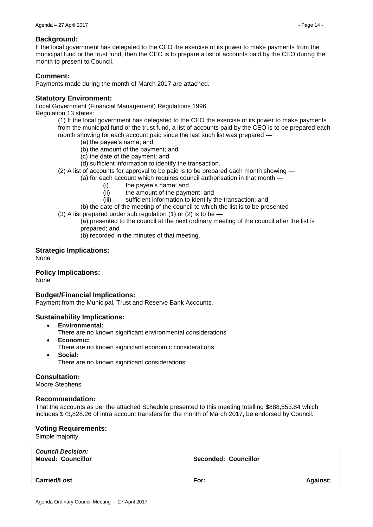# **Background:**

If the local government has delegated to the CEO the exercise of its power to make payments from the municipal fund or the trust fund, then the CEO is to prepare a list of accounts paid by the CEO during the month to present to Council.

# **Comment:**

Payments made during the month of March 2017 are attached.

## **Statutory Environment:**

Local Government (Financial Management) Regulations 1996

Regulation 13 states:

(1) If the local government has delegated to the CEO the exercise of its power to make payments from the municipal fund or the trust fund, a list of accounts paid by the CEO is to be prepared each month showing for each account paid since the last such list was prepared —

- (a) the payee's name; and
- (b) the amount of the payment; and
- (c) the date of the payment; and
- (d) sufficient information to identify the transaction.
- (2) A list of accounts for approval to be paid is to be prepared each month showing —

(a) for each account which requires council authorisation in that month —

- (i) the payee's name; and
- (ii) the amount of the payment; and
- (iii) sufficient information to identify the transaction; and
- (b) the date of the meeting of the council to which the list is to be presented
- (3) A list prepared under sub regulation (1) or (2) is to be —

(a) presented to the council at the next ordinary meeting of the council after the list is prepared; and

(b) recorded in the minutes of that meeting.

# **Strategic Implications:**

None

# **Policy Implications:**

None

# **Budget/Financial Implications:**

Payment from the Municipal, Trust and Reserve Bank Accounts.

## **Sustainability Implications:**

- **Environmental:**
	- There are no known significant environmental considerations
- **Economic:** There are no known significant economic considerations
- **Social:** There are no known significant considerations

# **Consultation:**

Moore Stephens

## **Recommendation:**

That the accounts as per the attached Schedule presented to this meeting totalling \$888,553.84 which includes \$73,828.26 of intra account transfers for the month of March 2017, be endorsed by Council.

## **Voting Requirements:**

Simple majority

| <b>Council Decision:</b><br><b>Moved: Councillor</b> | <b>Seconded: Councillor</b> |                 |
|------------------------------------------------------|-----------------------------|-----------------|
| <b>Carried/Lost</b>                                  | For:                        | <b>Against:</b> |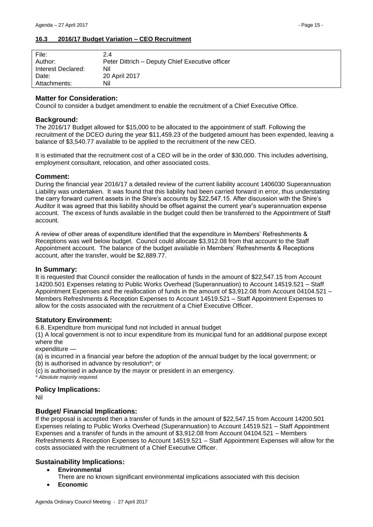#### <span id="page-14-0"></span>**16.3 2016/17 Budget Variation – CEO Recruitment**

#### **Matter for Consideration:**

Council to consider a budget amendment to enable the recruitment of a Chief Executive Office.

#### **Background:**

The 2016/17 Budget allowed for \$15,000 to be allocated to the appointment of staff. Following the recruitment of the DCEO during the year \$11,459.23 of the budgeted amount has been expended, leaving a balance of \$3,540.77 available to be applied to the recruitment of the new CEO.

It is estimated that the recruitment cost of a CEO will be in the order of \$30,000. This includes advertising, employment consultant, relocation, and other associated costs.

#### **Comment:**

During the financial year 2016/17 a detailed review of the current liability account 1406030 Superannuation Liability was undertaken. It was found that this liability had been carried forward in error, thus understating the carry forward current assets in the Shire's accounts by \$22,547.15. After discussion with the Shire's Auditor it was agreed that this liability should be offset against the current year's superannuation expense account. The excess of funds available in the budget could then be transferred to the Appointment of Staff account.

A review of other areas of expenditure identified that the expenditure in Members' Refreshments & Receptions was well below budget. Council could allocate \$3,912.08 from that account to the Staff Appointment account. The balance of the budget available in Members' Refreshments & Receptions account, after the transfer, would be \$2,889.77.

#### **In Summary:**

It is requested that Council consider the reallocation of funds in the amount of \$22,547.15 from Account 14200.501 Expenses relating to Public Works Overhead (Superannuation) to Account 14519.521 – Staff Appointment Expenses and the reallocation of funds in the amount of \$3,912.08 from Account 04104.521 – Members Refreshments & Reception Expenses to Account 14519.521 – Staff Appointment Expenses to allow for the costs associated with the recruitment of a Chief Executive Officer.

## **Statutory Environment:**

6.8. Expenditure from municipal fund not included in annual budget

(1) A local government is not to incur expenditure from its municipal fund for an additional purpose except where the

expenditure -

(a) is incurred in a financial year before the adoption of the annual budget by the local government; or

(b) is authorised in advance by resolution\*; or

(c) is authorised in advance by the mayor or president in an emergency.

*\* Absolute majority required.*

## **Policy Implications:**

Nil

## **Budget/ Financial Implications:**

If the proposal is accepted then a transfer of funds in the amount of \$22,547.15 from Account 14200.501 Expenses relating to Public Works Overhead (Superannuation) to Account 14519.521 – Staff Appointment Expenses and a transfer of funds in the amount of \$3,912.08 from Account 04104.521 – Members Refreshments & Reception Expenses to Account 14519.521 – Staff Appointment Expenses will allow for the costs associated with the recruitment of a Chief Executive Officer.

## **Sustainability Implications:**

- **Environmental**
	- There are no known significant environmental implications associated with this decision
- **Economic**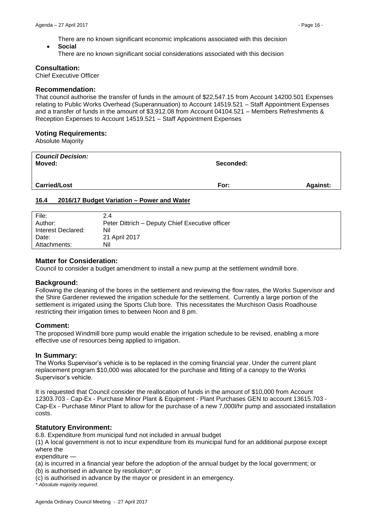There are no known significant economic implications associated with this decision

 **Social** There are no known significant social considerations associated with this decision

## **Consultation:**

Chief Executive Officer

## **Recommendation:**

That council authorise the transfer of funds in the amount of \$22,547.15 from Account 14200.501 Expenses relating to Public Works Overhead (Superannuation) to Account 14519.521 – Staff Appointment Expenses and a transfer of funds in the amount of \$3,912.08 from Account 04104.521 – Members Refreshments & Reception Expenses to Account 14519.521 – Staff Appointment Expenses

## **Voting Requirements:**

Absolute Majority

| <b>Council Decision:</b><br>Moved: | Seconded: |                 |
|------------------------------------|-----------|-----------------|
| <b>Carried/Lost</b>                | For:      | <b>Against:</b> |

#### <span id="page-15-0"></span>**16.4 2016/17 Budget Variation – Power and Water**

| File:<br>2.4              |                                                 |
|---------------------------|-------------------------------------------------|
| Author:                   | Peter Dittrich - Deputy Chief Executive officer |
| Nil<br>Interest Declared: |                                                 |
| Date:                     | 21 April 2017                                   |
| Nil<br>Attachments:       |                                                 |

## **Matter for Consideration:**

Council to consider a budget amendment to install a new pump at the settlement windmill bore.

## **Background:**

Following the cleaning of the bores in the settlement and reviewing the flow rates, the Works Supervisor and the Shire Gardener reviewed the irrigation schedule for the settlement. Currently a large portion of the settlement is irrigated using the Sports Club bore. This necessitates the Murchison Oasis Roadhouse restricting their irrigation times to between Noon and 8 pm.

## **Comment:**

The proposed Windmill bore pump would enable the irrigation schedule to be revised, enabling a more effective use of resources being applied to irrigation.

## **In Summary:**

The Works Supervisor's vehicle is to be replaced in the coming financial year. Under the current plant replacement program \$10,000 was allocated for the purchase and fitting of a canopy to the Works Supervisor's vehicle.

It is requested that Council consider the reallocation of funds in the amount of \$10,000 from Account 12303.703 - Cap-Ex - Purchase Minor Plant & Equipment - Plant Purchases GEN to account 13615.703 - Cap-Ex - Purchase Minor Plant to allow for the purchase of a new 7,000l/hr pump and associated installation costs.

## **Statutory Environment:**

6.8. Expenditure from municipal fund not included in annual budget

(1) A local government is not to incur expenditure from its municipal fund for an additional purpose except where the

expenditure

(a) is incurred in a financial year before the adoption of the annual budget by the local government; or (b) is authorised in advance by resolution\*; or

(c) is authorised in advance by the mayor or president in an emergency.

*\* Absolute majority required.*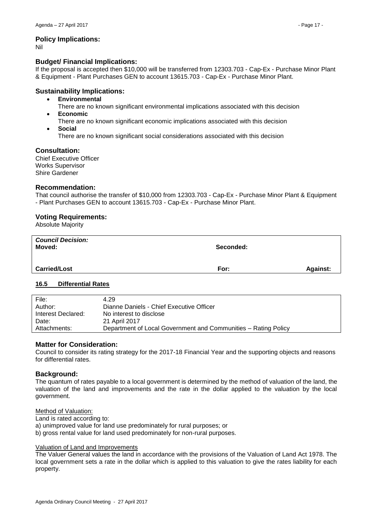## **Policy Implications:**

Nil

# **Budget/ Financial Implications:**

If the proposal is accepted then \$10,000 will be transferred from 12303.703 - Cap-Ex - Purchase Minor Plant & Equipment - Plant Purchases GEN to account 13615.703 - Cap-Ex - Purchase Minor Plant.

# **Sustainability Implications:**

- **Environmental**
	- There are no known significant environmental implications associated with this decision
- **Economic**
	- There are no known significant economic implications associated with this decision
- **Social**

There are no known significant social considerations associated with this decision

# **Consultation:**

Chief Executive Officer Works Supervisor Shire Gardener

# **Recommendation:**

That council authorise the transfer of \$10,000 from 12303.703 - Cap-Ex - Purchase Minor Plant & Equipment - Plant Purchases GEN to account 13615.703 - Cap-Ex - Purchase Minor Plant.

# **Voting Requirements:**

Absolute Majority

| <b>Council Decision:</b><br>Moved: | Seconded: |                 |
|------------------------------------|-----------|-----------------|
| <b>Carried/Lost</b>                | For:      | <b>Against:</b> |

## <span id="page-16-0"></span>**16.5 Differential Rates**

| File:              | 4.29                                                           |
|--------------------|----------------------------------------------------------------|
| Author:            | Dianne Daniels - Chief Executive Officer                       |
| Interest Declared: | No interest to disclose                                        |
| Date:              | 21 April 2017                                                  |
| Attachments:       | Department of Local Government and Communities – Rating Policy |

## **Matter for Consideration:**

Council to consider its rating strategy for the 2017-18 Financial Year and the supporting objects and reasons for differential rates.

## **Background:**

The quantum of rates payable to a local government is determined by the method of valuation of the land, the valuation of the land and improvements and the rate in the dollar applied to the valuation by the local government.

## Method of Valuation:

Land is rated according to:

- a) unimproved value for land use predominately for rural purposes; or
- b) gross rental value for land used predominately for non-rural purposes.

## Valuation of Land and Improvements

The Valuer General values the land in accordance with the provisions of the Valuation of Land Act 1978. The local government sets a rate in the dollar which is applied to this valuation to give the rates liability for each property.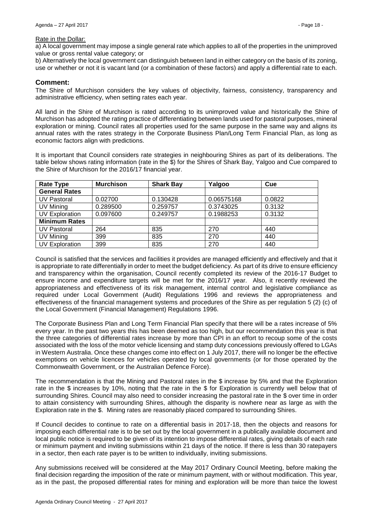#### Rate in the Dollar:

a) A local government may impose a single general rate which applies to all of the properties in the unimproved value or gross rental value category; or

b) Alternatively the local government can distinguish between land in either category on the basis of its zoning, use or whether or not it is vacant land (or a combination of these factors) and apply a differential rate to each.

#### **Comment:**

The Shire of Murchison considers the key values of objectivity, fairness, consistency, transparency and administrative efficiency, when setting rates each year.

All land in the Shire of Murchison is rated according to its unimproved value and historically the Shire of Murchison has adopted the rating practice of differentiating between lands used for pastoral purposes, mineral exploration or mining. Council rates all properties used for the same purpose in the same way and aligns its annual rates with the rates strategy in the Corporate Business Plan/Long Term Financial Plan, as long as economic factors align with predictions.

It is important that Council considers rate strategies in neighbouring Shires as part of its deliberations. The table below shows rating information (rate in the \$) for the Shires of Shark Bay, Yalgoo and Cue compared to the Shire of Murchison for the 2016/17 financial year.

| <b>Rate Type</b>      | <b>Murchison</b> | <b>Shark Bay</b> | Yalgoo     | Cue    |
|-----------------------|------------------|------------------|------------|--------|
| <b>General Rates</b>  |                  |                  |            |        |
| <b>UV Pastoral</b>    | 0.02700          | 0.130428         | 0.06575168 | 0.0822 |
| UV Mining             | 0.289500         | 0.259757         | 0.3743025  | 0.3132 |
| <b>UV Exploration</b> | 0.097600         | 0.249757         | 0.1988253  | 0.3132 |
| <b>Minimum Rates</b>  |                  |                  |            |        |
| <b>UV Pastoral</b>    | 264              | 835              | 270        | 440    |
| UV Mining             | 399              | 835              | 270        | 440    |
| <b>UV Exploration</b> | 399              | 835              | 270        | 440    |

Council is satisfied that the services and facilities it provides are managed efficiently and effectively and that it is appropriate to rate differentially in order to meet the budget deficiency. As part of its drive to ensure efficiency and transparency within the organisation, Council recently completed its review of the 2016-17 Budget to ensure income and expenditure targets will be met for the 2016/17 year. Also, it recently reviewed the appropriateness and effectiveness of its risk management, internal control and legislative compliance as required under Local Government (Audit) Regulations 1996 and reviews the appropriateness and effectiveness of the financial management systems and procedures of the Shire as per regulation 5 (2) (c) of the Local Government (Financial Management) Regulations 1996.

The Corporate Business Plan and Long Term Financial Plan specify that there will be a rates increase of 5% every year. In the past two years this has been deemed as too high, but our recommendation this year is that the three categories of differential rates increase by more than CPI in an effort to recoup some of the costs associated with the loss of the motor vehicle licensing and stamp duty concessions previously offered to LGAs in Western Australia. Once these changes come into effect on 1 July 2017, there will no longer be the effective exemptions on vehicle licences for vehicles operated by local governments (or for those operated by the Commonwealth Government, or the Australian Defence Force).

The recommendation is that the Mining and Pastoral rates in the \$ increase by 5% and that the Exploration rate in the \$ increases by 10%, noting that the rate in the \$ for Exploration is currently well below that of surrounding Shires. Council may also need to consider increasing the pastoral rate in the \$ over time in order to attain consistency with surrounding Shires, although the disparity is nowhere near as large as with the Exploration rate in the \$. Mining rates are reasonably placed compared to surrounding Shires.

If Council decides to continue to rate on a differential basis in 2017-18, then the objects and reasons for imposing each differential rate is to be set out by the local government in a publically available document and local public notice is required to be given of its intention to impose differential rates, giving details of each rate or minimum payment and inviting submissions within 21 days of the notice. If there is less than 30 ratepayers in a sector, then each rate payer is to be written to individually, inviting submissions.

Any submissions received will be considered at the May 2017 Ordinary Council Meeting, before making the final decision regarding the imposition of the rate or minimum payment, with or without modification. This year, as in the past, the proposed differential rates for mining and exploration will be more than twice the lowest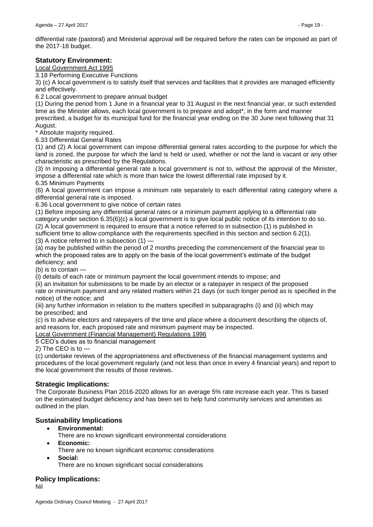differential rate (pastoral) and Ministerial approval will be required before the rates can be imposed as part of the 2017-18 budget.

# **Statutory Environment:**

Local Government Act 1995

3.18 Performing Executive Functions

3) (c) A local government is to satisfy itself that services and facilities that it provides are managed efficiently and effectively.

6.2 Local government to prepare annual budget

(1) During the period from 1 June in a financial year to 31 August in the next financial year, or such extended time as the Minister allows, each local government is to prepare and adopt\*, in the form and manner prescribed, a budget for its municipal fund for the financial year ending on the 30 June next following that 31 August.

\* Absolute majority required.

6.33 Differential General Rates

(1) and (2) A local government can impose differential general rates according to the purpose for which the land is zoned, the purpose for which the land is held or used, whether or not the land is vacant or any other characteristic as prescribed by the Regulations.

(3) In imposing a differential general rate a local government is not to, without the approval of the Minister, impose a differential rate which is more than twice the lowest differential rate imposed by it.

6.35 Minimum Payments

(6) A local government can impose a minimum rate separately to each differential rating category where a differential general rate is imposed.

6.36 Local government to give notice of certain rates

(1) Before imposing any differential general rates or a minimum payment applying to a differential rate category under section 6.35(6)(c) a local government is to give local public notice of its intention to do so. (2) A local government is required to ensure that a notice referred to in subsection (1) is published in sufficient time to allow compliance with the requirements specified in this section and section 6.2(1). (3) A notice referred to in subsection (1) —

(a) may be published within the period of 2 months preceding the commencement of the financial year to which the proposed rates are to apply on the basis of the local government's estimate of the budget deficiency; and

(b) is to contain —

(i) details of each rate or minimum payment the local government intends to impose; and

(ii) an invitation for submissions to be made by an elector or a ratepayer in respect of the proposed rate or minimum payment and any related matters within 21 days (or such longer period as is specified in the notice) of the notice; and

(iii) any further information in relation to the matters specified in subparagraphs (i) and (ii) which may be prescribed; and

(c) is to advise electors and ratepayers of the time and place where a document describing the objects of, and reasons for, each proposed rate and minimum payment may be inspected.

Local Government (Financial Management) Regulations 1996

5 CEO's duties as to financial management

2) The CEO is to —

(c) undertake reviews of the appropriateness and effectiveness of the financial management systems and procedures of the local government regularly (and not less than once in every 4 financial years) and report to the local government the results of those reviews.

## **Strategic Implications:**

The Corporate Business Plan 2016-2020 allows for an average 5% rate increase each year. This is based on the estimated budget deficiency and has been set to help fund community services and amenities as outlined in the plan.

# **Sustainability Implications**

- **Environmental:**
	- There are no known significant environmental considerations
- **Economic:**
	- There are no known significant economic considerations
- **Social:**
	- There are no known significant social considerations

## **Policy Implications:**

Nil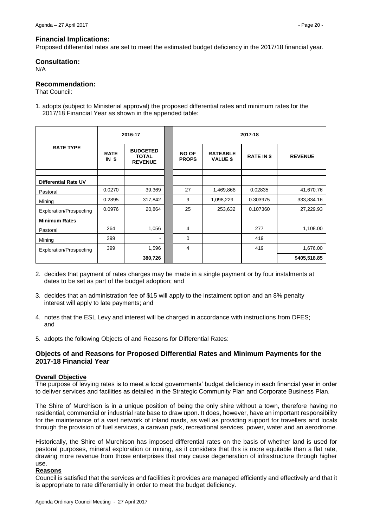#### **Financial Implications:**

Proposed differential rates are set to meet the estimated budget deficiency in the 2017/18 financial year.

# **Consultation:**

N/A

# **Recommendation:**

That Council:

1. adopts (subject to Ministerial approval) the proposed differential rates and minimum rates for the 2017/18 Financial Year as shown in the appended table:

|                             |                    | 2016-17                                           |  | 2017-18                      |                                    |                   |                |
|-----------------------------|--------------------|---------------------------------------------------|--|------------------------------|------------------------------------|-------------------|----------------|
| <b>RATE TYPE</b>            | <b>RATE</b><br>INS | <b>BUDGETED</b><br><b>TOTAL</b><br><b>REVENUE</b> |  | <b>NO OF</b><br><b>PROPS</b> | <b>RATEABLE</b><br><b>VALUE \$</b> | <b>RATE IN \$</b> | <b>REVENUE</b> |
|                             |                    |                                                   |  |                              |                                    |                   |                |
| <b>Differential Rate UV</b> |                    |                                                   |  |                              |                                    |                   |                |
| Pastoral                    | 0.0270             | 39,369                                            |  | 27                           | 1,469,868                          | 0.02835           | 41,670.76      |
| Mining                      | 0.2895             | 317,842                                           |  | 9                            | 1,098,229                          | 0.303975          | 333,834.16     |
| Exploration/Prospecting     | 0.0976             | 20,864                                            |  | 25                           | 253,632                            | 0.107360          | 27,229.93      |
| <b>Minimum Rates</b>        |                    |                                                   |  |                              |                                    |                   |                |
| Pastoral                    | 264                | 1,056                                             |  | 4                            |                                    | 277               | 1,108.00       |
| Mining                      | 399                | ۰                                                 |  | $\mathbf 0$                  |                                    | 419               |                |
| Exploration/Prospecting     | 399                | 1,596                                             |  | 4                            |                                    | 419               | 1,676.00       |
|                             |                    | 380,726                                           |  |                              |                                    |                   | \$405,518.85   |

- 2. decides that payment of rates charges may be made in a single payment or by four instalments at dates to be set as part of the budget adoption; and
- 3. decides that an administration fee of \$15 will apply to the instalment option and an 8% penalty interest will apply to late payments; and
- 4. notes that the ESL Levy and interest will be charged in accordance with instructions from DFES; and
- 5. adopts the following Objects of and Reasons for Differential Rates:

## **Objects of and Reasons for Proposed Differential Rates and Minimum Payments for the 2017-18 Financial Year**

## **Overall Objective**

The purpose of levying rates is to meet a local governments' budget deficiency in each financial year in order to deliver services and facilities as detailed in the Strategic Community Plan and Corporate Business Plan.

The Shire of Murchison is in a unique position of being the only shire without a town, therefore having no residential, commercial or industrial rate base to draw upon. It does, however, have an important responsibility for the maintenance of a vast network of inland roads, as well as providing support for travellers and locals through the provision of fuel services, a caravan park, recreational services, power, water and an aerodrome.

Historically, the Shire of Murchison has imposed differential rates on the basis of whether land is used for pastoral purposes, mineral exploration or mining, as it considers that this is more equitable than a flat rate, drawing more revenue from those enterprises that may cause degeneration of infrastructure through higher use.

#### **Reasons**

Council is satisfied that the services and facilities it provides are managed efficiently and effectively and that it is appropriate to rate differentially in order to meet the budget deficiency.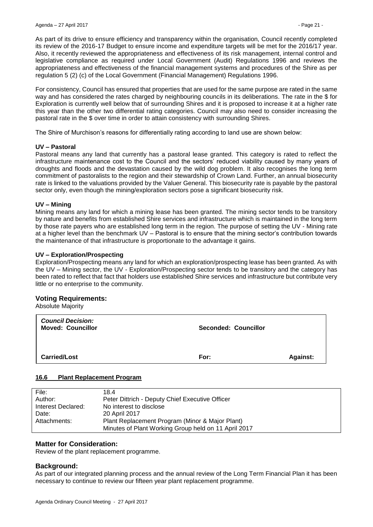As part of its drive to ensure efficiency and transparency within the organisation, Council recently completed its review of the 2016-17 Budget to ensure income and expenditure targets will be met for the 2016/17 year. Also, it recently reviewed the appropriateness and effectiveness of its risk management, internal control and legislative compliance as required under Local Government (Audit) Regulations 1996 and reviews the appropriateness and effectiveness of the financial management systems and procedures of the Shire as per regulation 5 (2) (c) of the Local Government (Financial Management) Regulations 1996.

For consistency, Council has ensured that properties that are used for the same purpose are rated in the same way and has considered the rates charged by neighbouring councils in its deliberations. The rate in the \$ for Exploration is currently well below that of surrounding Shires and it is proposed to increase it at a higher rate this year than the other two differential rating categories. Council may also need to consider increasing the pastoral rate in the \$ over time in order to attain consistency with surrounding Shires.

The Shire of Murchison's reasons for differentially rating according to land use are shown below:

## **UV – Pastoral**

Pastoral means any land that currently has a pastoral lease granted. This category is rated to reflect the infrastructure maintenance cost to the Council and the sectors' reduced viability caused by many years of droughts and floods and the devastation caused by the wild dog problem. It also recognises the long term commitment of pastoralists to the region and their stewardship of Crown Land. Further, an annual biosecurity rate is linked to the valuations provided by the Valuer General. This biosecurity rate is payable by the pastoral sector only, even though the mining/exploration sectors pose a significant biosecurity risk.

#### **UV – Mining**

Mining means any land for which a mining lease has been granted. The mining sector tends to be transitory by nature and benefits from established Shire services and infrastructure which is maintained in the long term by those rate payers who are established long term in the region. The purpose of setting the UV - Mining rate at a higher level than the benchmark UV – Pastoral is to ensure that the mining sector's contribution towards the maintenance of that infrastructure is proportionate to the advantage it gains.

#### **UV – Exploration/Prospecting**

Exploration/Prospecting means any land for which an exploration/prospecting lease has been granted. As with the UV – Mining sector, the UV - Exploration/Prospecting sector tends to be transitory and the category has been rated to reflect that fact that holders use established Shire services and infrastructure but contribute very little or no enterprise to the community.

## **Voting Requirements:**

Absolute Majority

| <b>Council Decision:</b><br><b>Moved: Councillor</b> | <b>Seconded: Councillor</b> |                 |
|------------------------------------------------------|-----------------------------|-----------------|
| <b>Carried/Lost</b>                                  | For:                        | <b>Against:</b> |

#### <span id="page-20-0"></span>**16.6 Plant Replacement Program**

| File:              | 18.4                                                 |
|--------------------|------------------------------------------------------|
| Author:            | Peter Dittrich - Deputy Chief Executive Officer      |
| Interest Declared: | No interest to disclose                              |
| Date:              | 20 April 2017                                        |
| Attachments:       | Plant Replacement Program (Minor & Major Plant)      |
|                    | Minutes of Plant Working Group held on 11 April 2017 |

## **Matter for Consideration:**

Review of the plant replacement programme.

## **Background:**

As part of our integrated planning process and the annual review of the Long Term Financial Plan it has been necessary to continue to review our fifteen year plant replacement programme.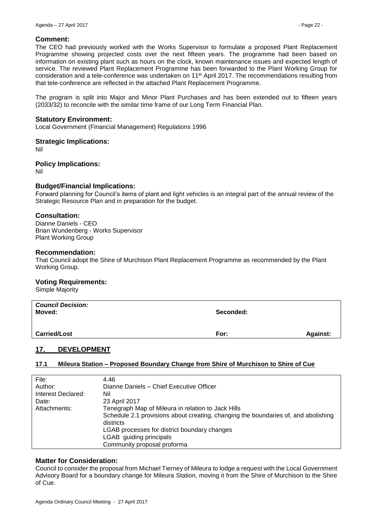#### **Comment:**

The CEO had previously worked with the Works Supervisor to formulate a proposed Plant Replacement Programme showing projected costs over the next fifteen years. The programme had been based on information on existing plant such as hours on the clock, known maintenance issues and expected length of service. The reviewed Plant Replacement Programme has been forwarded to the Plant Working Group for consideration and a tele-conference was undertaken on 11th April 2017. The recommendations resulting from that tele-conference are reflected in the attached Plant Replacement Programme.

The program is split into Major and Minor Plant Purchases and has been extended out to fifteen years (2033/32) to reconcile with the similar time frame of our Long Term Financial Plan.

#### **Statutory Environment:**

Local Government (Financial Management) Regulations 1996

#### **Strategic Implications:**

Nil

#### **Policy Implications:**

Nil

## **Budget/Financial Implications:**

Forward planning for Council's items of plant and light vehicles is an integral part of the annual review of the Strategic Resource Plan and in preparation for the budget.

#### **Consultation:**

Dianne Daniels - CEO Brian Wundenberg - Works Supervisor Plant Working Group

#### **Recommendation:**

That Council adopt the Shire of Murchison Plant Replacement Programme as recommended by the Plant Working Group.

## **Voting Requirements:**

Simple Majority

| <b>Council Decision:</b><br>Moved: | Seconded: |          |
|------------------------------------|-----------|----------|
| <b>Carried/Lost</b>                | For:      | Against: |

## <span id="page-21-0"></span>**17. DEVELOPMENT**

## <span id="page-21-1"></span>**17.1 Mileura Station – Proposed Boundary Change from Shire of Murchison to Shire of Cue**

| 4.46                                                                               |
|------------------------------------------------------------------------------------|
| Dianne Daniels - Chief Executive Officer                                           |
| Nil                                                                                |
| 23 April 2017                                                                      |
| Tenegraph Map of Mileura in relation to Jack Hills                                 |
| Schedule 2.1 provisions about creating, changing the boundaries of, and abolishing |
| districts                                                                          |
| LGAB processes for district boundary changes                                       |
| LGAB guiding principals                                                            |
| Community proposal proforma                                                        |
|                                                                                    |

#### **Matter for Consideration:**

Council to consider the proposal from Michael Tierney of Mileura to lodge a request with the Local Government Advisory Board for a boundary change for Mileura Station, moving it from the Shire of Murchison to the Shire of Cue.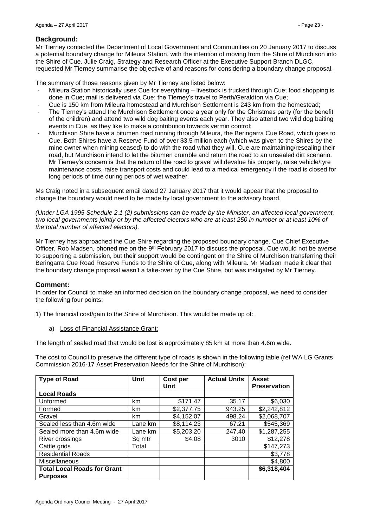# **Background:**

Mr Tierney contacted the Department of Local Government and Communities on 20 January 2017 to discuss a potential boundary change for Mileura Station, with the intention of moving from the Shire of Murchison into the Shire of Cue. Julie Craig, Strategy and Research Officer at the Executive Support Branch DLGC, requested Mr Tierney summarise the objective of and reasons for considering a boundary change proposal.

The summary of those reasons given by Mr Tierney are listed below:

- Mileura Station historically uses Cue for everything livestock is trucked through Cue; food shopping is done in Cue; mail is delivered via Cue; the Tierney's travel to Perth/Geraldton via Cue;
- Cue is 150 km from Mileura homestead and Murchison Settlement is 243 km from the homestead;
- The Tierney's attend the Murchison Settlement once a year only for the Christmas party (for the benefit of the children) and attend two wild dog baiting events each year. They also attend two wild dog baiting events in Cue, as they like to make a contribution towards vermin control;
- Murchison Shire have a bitumen road running through Mileura, the Beringarra Cue Road, which goes to Cue. Both Shires have a Reserve Fund of over \$3.5 million each (which was given to the Shires by the mine owner when mining ceased) to do with the road what they will. Cue are maintaining/resealing their road, but Murchison intend to let the bitumen crumble and return the road to an unsealed dirt scenario. Mr Tierney's concern is that the return of the road to gravel will devalue his property, raise vehicle/tyre maintenance costs, raise transport costs and could lead to a medical emergency if the road is closed for long periods of time during periods of wet weather.

Ms Craig noted in a subsequent email dated 27 January 2017 that it would appear that the proposal to change the boundary would need to be made by local government to the advisory board.

*(Under LGA 1995 Schedule 2.1 (2) submissions can be made by the Minister, an affected local government, two local governments jointly or by the affected electors who are at least 250 in number or at least 10% of the total number of affected electors).*

Mr Tierney has approached the Cue Shire regarding the proposed boundary change. Cue Chief Executive Officer, Rob Madsen, phoned me on the 9<sup>th</sup> February 2017 to discuss the proposal. Cue would not be averse to supporting a submission, but their support would be contingent on the Shire of Murchison transferring their Beringarra Cue Road Reserve Funds to the Shire of Cue, along with Mileura. Mr Madsen made it clear that the boundary change proposal wasn't a take-over by the Cue Shire, but was instigated by Mr Tierney.

# **Comment:**

In order for Council to make an informed decision on the boundary change proposal, we need to consider the following four points:

1) The financial cost/gain to the Shire of Murchison. This would be made up of:

a) Loss of Financial Assistance Grant:

The length of sealed road that would be lost is approximately 85 km at more than 4.6m wide.

The cost to Council to preserve the different type of roads is shown in the following table (ref WA LG Grants Commission 2016-17 Asset Preservation Needs for the Shire of Murchison):

| <b>Type of Road</b>                | Unit    | Cost per   | <b>Actual Units</b> | <b>Asset</b>        |
|------------------------------------|---------|------------|---------------------|---------------------|
|                                    |         | Unit       |                     | <b>Preservation</b> |
| <b>Local Roads</b>                 |         |            |                     |                     |
| Unformed                           | km      | \$171.47   | 35.17               | \$6,030             |
| Formed                             | km      | \$2,377.75 | 943.25              | \$2,242,812         |
| Gravel                             | km      | \$4,152.07 | 498.24              | \$2,068,707         |
| Sealed less than 4.6m wide         | Lane km | \$8,114.23 | 67.21               | \$545,369           |
| Sealed more than 4.6m wide         | Lane km | \$5,203.20 | 247.40              | \$1,287,255         |
| River crossings                    | Sq mtr  | \$4.08     | 3010                | \$12,278            |
| Cattle grids                       | Total   |            |                     | \$147,273           |
| <b>Residential Roads</b>           |         |            |                     | \$3,778             |
| Miscellaneous                      |         |            |                     | \$4,800             |
| <b>Total Local Roads for Grant</b> |         |            |                     | \$6,318,404         |
| <b>Purposes</b>                    |         |            |                     |                     |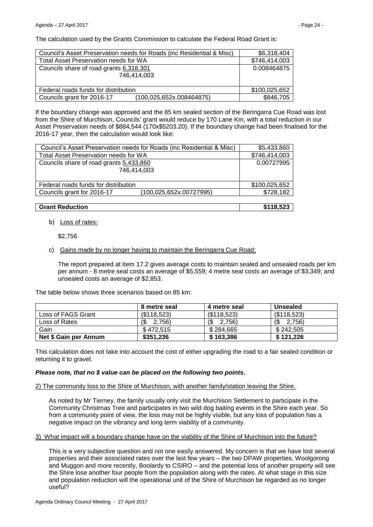The calculation used by the Grants Commission to calculate the Federal Road Grant is:

| Council's Asset Preservation needs for Roads (inc Residential & Misc) | \$6,318,404   |
|-----------------------------------------------------------------------|---------------|
| Total Asset Preservation needs for WA                                 | \$746,414,003 |
| Councils share of road grants 6,318,301                               | 0.008464875   |
| 746.414.003                                                           |               |
|                                                                       |               |
| Federal roads funds for distribution                                  | \$100,025,652 |
| Councils grant for 2016-17<br>(100, 025, 652x. 008464875)             | \$846,705     |

If the boundary change was approved and the 85 km sealed section of the Beringarra Cue Road was lost from the Shire of Murchison, Councils' grant would reduce by 170 Lane Km, with a total reduction in our Asset Preservation needs of \$884,544 (170x\$5203.20). If the boundary change had been finalised for the 2016-17 year, then the calculation would look like:

| Council's Asset Preservation needs for Roads (inc Residential & Misc) | \$5,433,860   |
|-----------------------------------------------------------------------|---------------|
| <b>Total Asset Preservation needs for WA</b>                          | \$746,414,003 |
| Councils share of road grants 5,433,860                               | 0.00727995    |
| 746.414.003                                                           |               |
|                                                                       |               |
| Federal roads funds for distribution                                  | \$100,025,652 |
| Councils grant for 2016-17<br>(100,025,652x.00727995)                 | \$728,182     |
|                                                                       |               |

#### **Grant Reduction \$118,523**

b) Loss of rates:

\$2,756

#### c) Gains made by no longer having to maintain the Beringarra Cue Road:

The report prepared at Item 17.2 gives average costs to maintain sealed and unsealed roads per km per annum - 8 metre seal costs an average of \$5,559; 4 metre seal costs an average of \$3,349; and unsealed costs an average of \$2,853.

The table below shows three scenarios based on 85 km:

|                       | 8 metre seal  | 4 metre seal         | Unsealed      |
|-----------------------|---------------|----------------------|---------------|
| Loss of FAGS Grant    | (\$118,523)   | (\$118,523)          | (\$118,523)   |
| Loss of Rates         | 1\$<br>2.756) | $\sqrt{3}$<br>2.756) | 1\$<br>2.756) |
| Gain                  | \$472.515     | \$284.665            | \$242.505     |
| Net \$ Gain per Annum | \$351,236     | \$163,386            | \$121,226     |

This calculation does not take into account the cost of either upgrading the road to a fair sealed condition or returning it to gravel.

## *Please note, that no \$ value can be placed on the following two points***.**

2) The community loss to the Shire of Murchison, with another family/station leaving the Shire.

As noted by Mr Tierney, the family usually only visit the Murchison Settlement to participate in the Community Christmas Tree and participates in two wild dog baiting events in the Shire each year. So from a community point of view, the loss may not be highly visible, but any loss of population has a negative impact on the vibrancy and long term viability of a community.

3) What impact will a boundary change have on the viability of the Shire of Murchison into the future?

This is a very subjective question and not one easily answered. My concern is that we have lost several properties and their associated rates over the last few years – the two DPAW properties, Woolgorong and Muggon and more recently, Boolardy to CSIRO – and the potential loss of another property will see the Shire lose another four people from the population along with the rates. At what stage in this size and population reduction will the operational unit of the Shire of Murchison be regarded as no longer useful?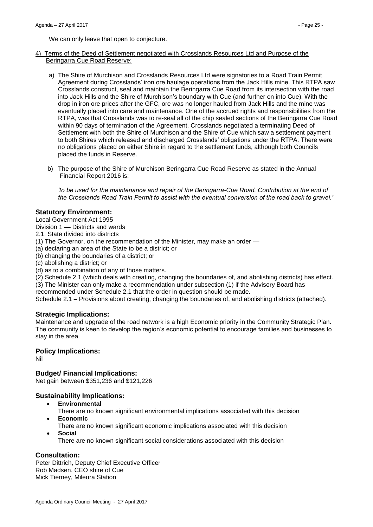We can only leave that open to conjecture.

- 4) Terms of the Deed of Settlement negotiated with Crosslands Resources Ltd and Purpose of the Beringarra Cue Road Reserve:
	- a) The Shire of Murchison and Crosslands Resources Ltd were signatories to a Road Train Permit Agreement during Crosslands' iron ore haulage operations from the Jack Hills mine. This RTPA saw Crosslands construct, seal and maintain the Beringarra Cue Road from its intersection with the road into Jack Hills and the Shire of Murchison's boundary with Cue (and further on into Cue). With the drop in iron ore prices after the GFC, ore was no longer hauled from Jack Hills and the mine was eventually placed into care and maintenance. One of the accrued rights and responsibilities from the RTPA, was that Crosslands was to re-seal all of the chip sealed sections of the Beringarra Cue Road within 90 days of termination of the Agreement. Crosslands negotiated a terminating Deed of Settlement with both the Shire of Murchison and the Shire of Cue which saw a settlement payment to both Shires which released and discharged Crosslands' obligations under the RTPA. There were no obligations placed on either Shire in regard to the settlement funds, although both Councils placed the funds in Reserve.
	- b) The purpose of the Shire of Murchison Beringarra Cue Road Reserve as stated in the Annual Financial Report 2016 is:

*'to be used for the maintenance and repair of the Beringarra-Cue Road. Contribution at the end of the Crosslands Road Train Permit to assist with the eventual conversion of the road back to gravel.'*

#### **Statutory Environment:**

Local Government Act 1995

Division 1 — Districts and wards

2.1. State divided into districts

(1) The Governor, on the recommendation of the Minister, may make an order —

(a) declaring an area of the State to be a district; or

(b) changing the boundaries of a district; or

(c) abolishing a district; or

(d) as to a combination of any of those matters.

(2) Schedule 2.1 (which deals with creating, changing the boundaries of, and abolishing districts) has effect. (3) The Minister can only make a recommendation under subsection (1) if the Advisory Board has

recommended under Schedule 2.1 that the order in question should be made.

Schedule 2.1 – Provisions about creating, changing the boundaries of, and abolishing districts (attached).

#### **Strategic Implications:**

Maintenance and upgrade of the road network is a high Economic priority in the Community Strategic Plan. The community is keen to develop the region's economic potential to encourage families and businesses to stay in the area.

#### **Policy Implications:**

Nil

**Budget/ Financial Implications:** 

Net gain between \$351,236 and \$121,226

## **Sustainability Implications:**

- **Environmental**
- There are no known significant environmental implications associated with this decision **Economic**
- There are no known significant economic implications associated with this decision
- **Social**

There are no known significant social considerations associated with this decision

## **Consultation:**

Peter Dittrich, Deputy Chief Executive Officer Rob Madsen, CEO shire of Cue Mick Tierney, Mileura Station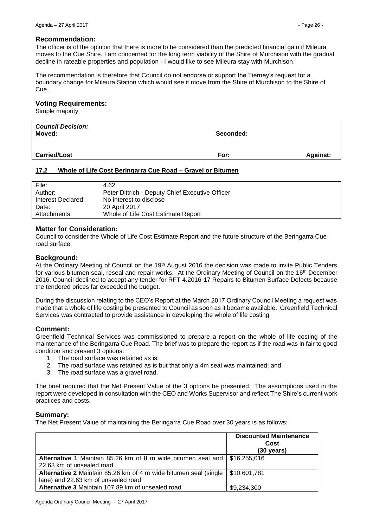#### **Recommendation:**

The officer is of the opinion that there is more to be considered than the predicted financial gain if Mileura moves to the Cue Shire. I am concerned for the long term viability of the Shire of Murchison with the gradual decline in rateable properties and population - I would like to see Mileura stay with Murchison.

The recommendation is therefore that Council do not endorse or support the Tierney's request for a boundary change for Mileura Station which would see it move from the Shire of Murchison to the Shire of Cue.

## **Voting Requirements:**

Simple majority

| <b>Council Decision:</b><br>Moved: | Seconded: |                 |
|------------------------------------|-----------|-----------------|
| <b>Carried/Lost</b>                | For:      | <b>Against:</b> |

# <span id="page-25-0"></span>**17.2 Whole of Life Cost Beringarra Cue Road – Gravel or Bitumen**

| File:              | 4.62                                            |
|--------------------|-------------------------------------------------|
| Author:            | Peter Dittrich - Deputy Chief Executive Officer |
| Interest Declared: | No interest to disclose                         |
| Date:              | 20 April 2017                                   |
| Attachments:       | Whole of Life Cost Estimate Report              |

#### **Matter for Consideration:**

Council to consider the Whole of Life Cost Estimate Report and the future structure of the Beringarra Cue road surface.

# **Background:**

At the Ordinary Meeting of Council on the 19<sup>th</sup> August 2016 the decision was made to invite Public Tenders for various bitumen seal, reseal and repair works. At the Ordinary Meeting of Council on the 16th December 2016, Council declined to accept any tender for RFT 4.2016-17 Repairs to Bitumen Surface Defects because the tendered prices far exceeded the budget.

During the discussion relating to the CEO's Report at the March 2017 Ordinary Council Meeting a request was made that a whole of life costing be presented to Council as soon as it became available. Greenfield Technical Services was contracted to provide assistance in developing the whole of life costing.

## **Comment:**

Greenfield Technical Services was commissioned to prepare a report on the whole of life costing of the maintenance of the Beringarra Cue Road. The brief was to prepare the report as if the road was in fair to good condition and present 3 options:

- 1. The road surface was retained as is;
- 2. The road surface was retained as is but that only a 4m seal was maintained; and
- 3. The road surface was a gravel road.

The brief required that the Net Present Value of the 3 options be presented. The assumptions used in the report were developed in consultation with the CEO and Works Supervisor and reflect The Shire's current work practices and costs.

## **Summary:**

The Net Present Value of maintaining the Beringarra Cue Road over 30 years is as follows:

|                                                                             | <b>Discounted Maintenance</b><br>Cost<br>$(30 \text{ years})$ |
|-----------------------------------------------------------------------------|---------------------------------------------------------------|
| Alternative 1 Maintain 85.26 km of 8 m wide bitumen seal and   \$16,255,016 |                                                               |
| 22.63 km of unsealed road                                                   |                                                               |
| Alternative 2 Maintain 85.26 km of 4 m wide bitumen seal (single            | $\frac{1}{2}$ \$10,601,781                                    |
| lane) and 22.63 km of unsealed road                                         |                                                               |
| Alternative 3 Maintain 107.89 km of unsealed road                           | \$9,234,300                                                   |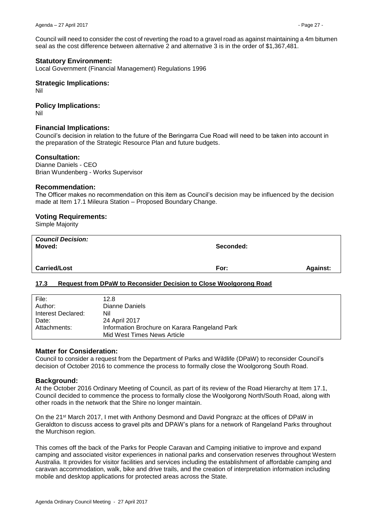Council will need to consider the cost of reverting the road to a gravel road as against maintaining a 4m bitumen seal as the cost difference between alternative 2 and alternative 3 is in the order of \$1,367,481.

## **Statutory Environment:**

Local Government (Financial Management) Regulations 1996

#### **Strategic Implications:**

Nil

# **Policy Implications:**

Nil

#### **Financial Implications:**

Council's decision in relation to the future of the Beringarra Cue Road will need to be taken into account in the preparation of the Strategic Resource Plan and future budgets.

#### **Consultation:**

Dianne Daniels - CEO Brian Wundenberg - Works Supervisor

#### **Recommendation:**

The Officer makes no recommendation on this item as Council's decision may be influenced by the decision made at Item 17.1 Mileura Station – Proposed Boundary Change.

#### **Voting Requirements:**

Simple Majority

| <b>Council Decision:</b><br>Moved: | Seconded: |                 |
|------------------------------------|-----------|-----------------|
| <b>Carried/Lost</b>                | For:      | <b>Against:</b> |

## <span id="page-26-0"></span>**17.3 Request from DPaW to Reconsider Decision to Close Woolgorong Road**

| File:              | 12.8                                          |
|--------------------|-----------------------------------------------|
| Author:            | Dianne Daniels                                |
| Interest Declared: | Nil                                           |
| Date:              | 24 April 2017                                 |
| Attachments:       | Information Brochure on Karara Rangeland Park |
|                    | Mid West Times News Article                   |

#### **Matter for Consideration:**

Council to consider a request from the Department of Parks and Wildlife (DPaW) to reconsider Council's decision of October 2016 to commence the process to formally close the Woolgorong South Road.

#### **Background:**

At the October 2016 Ordinary Meeting of Council, as part of its review of the Road Hierarchy at Item 17.1, Council decided to commence the process to formally close the Woolgorong North/South Road, along with other roads in the network that the Shire no longer maintain.

On the 21st March 2017, I met with Anthony Desmond and David Pongrazc at the offices of DPaW in Geraldton to discuss access to gravel pits and DPAW's plans for a network of Rangeland Parks throughout the Murchison region.

This comes off the back of the Parks for People Caravan and Camping initiative to improve and expand camping and associated visitor experiences in national parks and conservation reserves throughout Western Australia. It provides for visitor facilities and services including the establishment of affordable camping and caravan accommodation, walk, bike and drive trails, and the creation of interpretation information including mobile and desktop applications for protected areas across the State.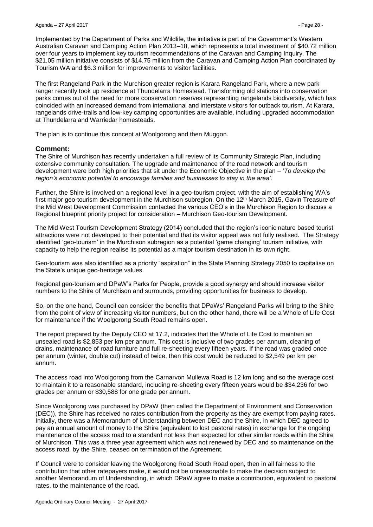Implemented by the Department of Parks and Wildlife, the initiative is part of the Government's Western Australian Caravan and Camping Action Plan 2013–18, which represents a total investment of \$40.72 million over four years to implement key tourism recommendations of the Caravan and Camping Inquiry. The \$21.05 million initiative consists of \$14.75 million from the Caravan and Camping Action Plan coordinated by Tourism WA and \$6.3 million for improvements to visitor facilities.

The first Rangeland Park in the Murchison greater region is Karara Rangeland Park, where a new park ranger recently took up residence at Thundelarra Homestead. Transforming old stations into conservation parks comes out of the need for more conservation reserves representing rangelands biodiversity, which has coincided with an increased demand from international and interstate visitors for outback tourism. At Karara, rangelands drive-trails and low-key camping opportunities are available, including upgraded accommodation at Thundelarra and Warriedar homesteads.

The plan is to continue this concept at Woolgorong and then Muggon.

## **Comment:**

The Shire of Murchison has recently undertaken a full review of its Community Strategic Plan, including extensive community consultation. The upgrade and maintenance of the road network and tourism development were both high priorities that sit under the Economic Objective in the plan – '*To develop the region's economic potential to encourage families and businesses to stay in the area'.*

Further, the Shire is involved on a regional level in a geo-tourism project, with the aim of establishing WA's first major geo-tourism development in the Murchison subregion. On the 12<sup>th</sup> March 2015, Gavin Treasure of the Mid West Development Commission contacted the various CEO's in the Murchison Region to discuss a Regional blueprint priority project for consideration – Murchison Geo-tourism Development.

The Mid West Tourism Development Strategy (2014) concluded that the region's iconic nature based tourist attractions were not developed to their potential and that its visitor appeal was not fully realised. The Strategy identified 'geo-tourism' in the Murchison subregion as a potential 'game changing' tourism initiative, with capacity to help the region realise its potential as a major tourism destination in its own right.

Geo-tourism was also identified as a priority "aspiration" in the State Planning Strategy 2050 to capitalise on the State's unique geo-heritage values.

Regional geo-tourism and DPaW's Parks for People, provide a good synergy and should increase visitor numbers to the Shire of Murchison and surrounds, providing opportunities for business to develop.

So, on the one hand, Council can consider the benefits that DPaWs' Rangeland Parks will bring to the Shire from the point of view of increasing visitor numbers, but on the other hand, there will be a Whole of Life Cost for maintenance if the Woolgorong South Road remains open.

The report prepared by the Deputy CEO at 17.2, indicates that the Whole of Life Cost to maintain an unsealed road is \$2,853 per km per annum. This cost is inclusive of two grades per annum, cleaning of drains, maintenance of road furniture and full re-sheeting every fifteen years. If the road was graded once per annum (winter, double cut) instead of twice, then this cost would be reduced to \$2,549 per km per annum.

The access road into Woolgorong from the Carnarvon Mullewa Road is 12 km long and so the average cost to maintain it to a reasonable standard, including re-sheeting every fifteen years would be \$34,236 for two grades per annum or \$30,588 for one grade per annum.

Since Woolgorong was purchased by DPaW (then called the Department of Environment and Conservation (DEC)), the Shire has received no rates contribution from the property as they are exempt from paying rates. Initially, there was a Memorandum of Understanding between DEC and the Shire, in which DEC agreed to pay an annual amount of money to the Shire (equivalent to lost pastoral rates) in exchange for the ongoing maintenance of the access road to a standard not less than expected for other similar roads within the Shire of Murchison. This was a three year agreement which was not renewed by DEC and so maintenance on the access road, by the Shire, ceased on termination of the Agreement.

If Council were to consider leaving the Woolgorong Road South Road open, then in all fairness to the contribution that other ratepayers make, it would not be unreasonable to make the decision subject to another Memorandum of Understanding, in which DPaW agree to make a contribution, equivalent to pastoral rates, to the maintenance of the road.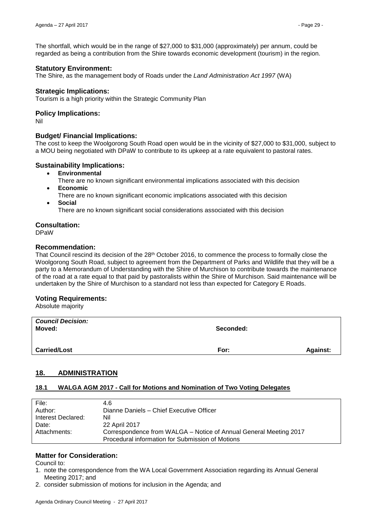The shortfall, which would be in the range of \$27,000 to \$31,000 (approximately) per annum, could be regarded as being a contribution from the Shire towards economic development (tourism) in the region.

## **Statutory Environment:**

The Shire, as the management body of Roads under the *Land Administration Act 1997* (WA)

## **Strategic Implications:**

Tourism is a high priority within the Strategic Community Plan

## **Policy Implications:**

Nil

# **Budget/ Financial Implications:**

The cost to keep the Woolgorong South Road open would be in the vicinity of \$27,000 to \$31,000, subject to a MOU being negotiated with DPaW to contribute to its upkeep at a rate equivalent to pastoral rates.

## **Sustainability Implications:**

- **Environmental**
- There are no known significant environmental implications associated with this decision **Economic**
	- There are no known significant economic implications associated with this decision
- **Social**

There are no known significant social considerations associated with this decision

# **Consultation:**

DPaW

## **Recommendation:**

That Council rescind its decision of the 28<sup>th</sup> October 2016, to commence the process to formally close the Woolgorong South Road, subject to agreement from the Department of Parks and Wildlife that they will be a party to a Memorandum of Understanding with the Shire of Murchison to contribute towards the maintenance of the road at a rate equal to that paid by pastoralists within the Shire of Murchison. Said maintenance will be undertaken by the Shire of Murchison to a standard not less than expected for Category E Roads.

## **Voting Requirements:**

Absolute majority

| <b>Council Decision:</b><br>Moved: | Seconded: |                 |
|------------------------------------|-----------|-----------------|
| <b>Carried/Lost</b>                | For:      | <b>Against:</b> |
|                                    |           |                 |

# <span id="page-28-0"></span>**18. ADMINISTRATION**

## <span id="page-28-1"></span>**18.1 WALGA AGM 2017 - Call for Motions and Nomination of Two Voting Delegates**

| File:              | 4.6                                                               |
|--------------------|-------------------------------------------------------------------|
| Author:            | Dianne Daniels - Chief Executive Officer                          |
| Interest Declared: | Nil                                                               |
| Date:              | 22 April 2017                                                     |
| Attachments:       | Correspondence from WALGA - Notice of Annual General Meeting 2017 |
|                    | Procedural information for Submission of Motions                  |
|                    |                                                                   |

# **Matter for Consideration:**

Council to:

- 1. note the correspondence from the WA Local Government Association regarding its Annual General Meeting 2017; and
- 2. consider submission of motions for inclusion in the Agenda; and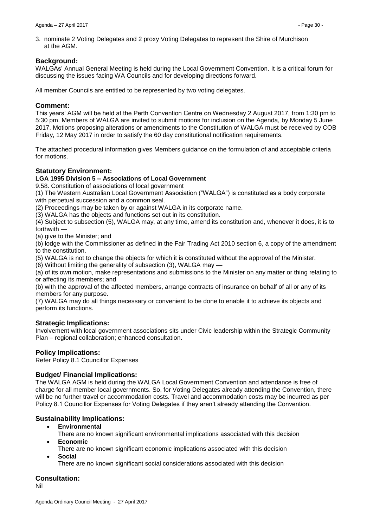3. nominate 2 Voting Delegates and 2 proxy Voting Delegates to represent the Shire of Murchison at the AGM.

# **Background:**

WALGAs' Annual General Meeting is held during the Local Government Convention. It is a critical forum for discussing the issues facing WA Councils and for developing directions forward.

All member Councils are entitled to be represented by two voting delegates.

## **Comment:**

This years' AGM will be held at the Perth Convention Centre on Wednesday 2 August 2017, from 1:30 pm to 5:30 pm. Members of WALGA are invited to submit motions for inclusion on the Agenda, by Monday 5 June 2017. Motions proposing alterations or amendments to the Constitution of WALGA must be received by COB Friday, 12 May 2017 in order to satisfy the 60 day constitutional notification requirements.

The attached procedural information gives Members guidance on the formulation of and acceptable criteria for motions.

# **Statutory Environment:**

## **LGA 1995 Division 5 – Associations of Local Government**

9.58. Constitution of associations of local government

(1) The Western Australian Local Government Association ("WALGA") is constituted as a body corporate with perpetual succession and a common seal.

(2) Proceedings may be taken by or against WALGA in its corporate name.

(3) WALGA has the objects and functions set out in its constitution.

(4) Subject to subsection (5), WALGA may, at any time, amend its constitution and, whenever it does, it is to forthwith —

(a) give to the Minister; and

(b) lodge with the Commissioner as defined in the Fair Trading Act 2010 section 6, a copy of the amendment to the constitution.

(5) WALGA is not to change the objects for which it is constituted without the approval of the Minister.

(6) Without limiting the generality of subsection (3), WALGA may —

(a) of its own motion, make representations and submissions to the Minister on any matter or thing relating to or affecting its members; and

(b) with the approval of the affected members, arrange contracts of insurance on behalf of all or any of its members for any purpose.

(7) WALGA may do all things necessary or convenient to be done to enable it to achieve its objects and perform its functions.

## **Strategic Implications:**

Involvement with local government associations sits under Civic leadership within the Strategic Community Plan – regional collaboration; enhanced consultation.

## **Policy Implications:**

Refer Policy 8.1 Councillor Expenses

## **Budget/ Financial Implications:**

The WALGA AGM is held during the WALGA Local Government Convention and attendance is free of charge for all member local governments. So, for Voting Delegates already attending the Convention, there will be no further travel or accommodation costs. Travel and accommodation costs may be incurred as per Policy 8.1 Councillor Expenses for Voting Delegates if they aren't already attending the Convention.

## **Sustainability Implications:**

- **Environmental**
- There are no known significant environmental implications associated with this decision **Economic**
- There are no known significant economic implications associated with this decision **Social**

There are no known significant social considerations associated with this decision

# **Consultation:**

Nil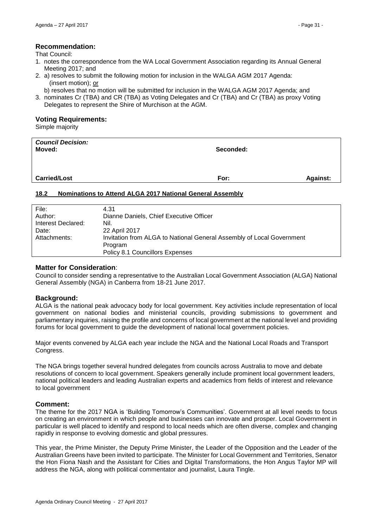# **Recommendation:**

That Council:

- 1. notes the correspondence from the WA Local Government Association regarding its Annual General Meeting 2017; and
- 2. a) resolves to submit the following motion for inclusion in the WALGA AGM 2017 Agenda: (insert motion); or
	- b) resolves that no motion will be submitted for inclusion in the WALGA AGM 2017 Agenda; and
- 3. nominates Cr (TBA) and CR (TBA) as Voting Delegates and Cr (TBA) and Cr (TBA) as proxy Voting Delegates to represent the Shire of Murchison at the AGM.

#### **Voting Requirements:**

Simple majority

| <b>Council Decision:</b><br>Moved: | Seconded: |                 |
|------------------------------------|-----------|-----------------|
| <b>Carried/Lost</b>                | For:      | <b>Against:</b> |

## <span id="page-30-0"></span>**18.2 Nominations to Attend ALGA 2017 National General Assembly**

| File:              | 4.31                                                                  |
|--------------------|-----------------------------------------------------------------------|
| Author:            | Dianne Daniels, Chief Executive Officer                               |
| Interest Declared: | Nil.                                                                  |
| Date:              | 22 April 2017                                                         |
| Attachments:       | Invitation from ALGA to National General Assembly of Local Government |
|                    | Program                                                               |
|                    | Policy 8.1 Councillors Expenses                                       |
|                    |                                                                       |

## **Matter for Consideration**:

Council to consider sending a representative to the Australian Local Government Association (ALGA) National General Assembly (NGA) in Canberra from 18-21 June 2017.

## **Background:**

ALGA is the national peak advocacy body for local government. Key activities include representation of local government on national bodies and ministerial councils, providing submissions to government and parliamentary inquiries, raising the profile and concerns of local government at the national level and providing forums for local government to guide the development of national local government policies.

Major events convened by ALGA each year include the [NGA](http://www.alga.asn.au/?ID=6515&Menu=36,303/) and th[e](http://www.alga.asn.au/?ID=6601&Menu=36,304) [National Local Roads and Transport](http://www.alga.asn.au/?ID=6601&Menu=36,304)  [Congress.](http://www.alga.asn.au/?ID=6601&Menu=36,304)

The NGA brings together several hundred delegates from councils across Australia to move and debate resolutions of concern to local government. Speakers generally include prominent local government leaders, national political leaders and leading Australian experts and academics from fields of interest and relevance to local government

## **Comment:**

The theme for the 2017 NGA is 'Building Tomorrow's Communities'. Government at all level needs to focus on creating an environment in which people and businesses can innovate and prosper. Local Government in particular is well placed to identify and respond to local needs which are often diverse, complex and changing rapidly in response to evolving domestic and global pressures.

This year, the Prime Minister, the Deputy Prime Minister, the Leader of the Opposition and the Leader of the Australian Greens have been invited to participate. The Minister for Local Government and Territories, Senator the Hon Fiona Nash and the Assistant for Cities and Digital Transformations, the Hon Angus Taylor MP will address the NGA, along with political commentator and journalist, Laura Tingle.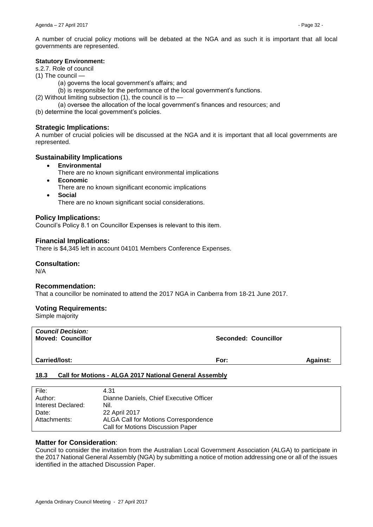A number of crucial policy motions will be debated at the NGA and as such it is important that all local governments are represented.

#### **Statutory Environment:**

s.2.7. Role of council

- (1) The council  $\cdot$ 
	- (a) governs the local government's affairs; and
	- (b) is responsible for the performance of the local government's functions.
- (2) Without limiting subsection (1), the council is to
	- (a) oversee the allocation of the local government's finances and resources; and
- (b) determine the local government's policies.

## **Strategic Implications:**

A number of crucial policies will be discussed at the NGA and it is important that all local governments are represented.

# **Sustainability Implications**

- **Environmental**
	- There are no known significant environmental implications
- **Economic**
	- There are no known significant economic implications
- **Social**

There are no known significant social considerations.

#### **Policy Implications:**

Council's Policy 8.1 on Councillor Expenses is relevant to this item.

#### **Financial Implications:**

There is \$4,345 left in account 04101 Members Conference Expenses.

#### **Consultation:**

N/A

## **Recommendation:**

That a councillor be nominated to attend the 2017 NGA in Canberra from 18-21 June 2017.

## **Voting Requirements:**

Simple majority

| <b>Council Decision:</b><br><b>Moved: Councillor</b> | Seconded: Councillor |                 |
|------------------------------------------------------|----------------------|-----------------|
| <b>Carried/lost:</b>                                 | For:                 | <b>Against:</b> |

#### <span id="page-31-0"></span>**18.3 Call for Motions - ALGA 2017 National General Assembly**

| File:              | 4.31                                    |
|--------------------|-----------------------------------------|
| Author:            | Dianne Daniels, Chief Executive Officer |
| Interest Declared: | Nil.                                    |
| Date:              | 22 April 2017                           |
| Attachments:       | ALGA Call for Motions Correspondence    |
|                    | Call for Motions Discussion Paper       |

#### **Matter for Consideration**:

Council to consider the invitation from the Australian Local Government Association (ALGA) to participate in the 2017 National General Assembly (NGA) by submitting a notice of motion addressing one or all of the issues identified in the attached Discussion Paper.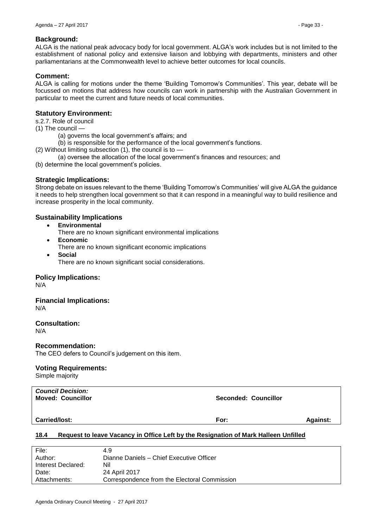# **Background:**

ALGA is the national peak advocacy body for local government. ALGA's work includes but is not limited to the establishment of national policy and extensive liaison and lobbying with departments, ministers and other parliamentarians at the Commonwealth level to achieve better outcomes for local councils.

## **Comment:**

ALGA is calling for motions under the theme 'Building Tomorrow's Communities'. This year, debate will be focussed on motions that address how councils can work in partnership with the Australian Government in particular to meet the current and future needs of local communities.

# **Statutory Environment:**

s.2.7. Role of council

(1) The council —

- (a) governs the local government's affairs; and
- (b) is responsible for the performance of the local government's functions.
- (2) Without limiting subsection (1), the council is to
	- (a) oversee the allocation of the local government's finances and resources; and
- (b) determine the local government's policies.

# **Strategic Implications:**

Strong debate on issues relevant to the theme 'Building Tomorrow's Communities' will give ALGA the guidance it needs to help strengthen local government so that it can respond in a meaningful way to build resilience and increase prosperity in the local community.

# **Sustainability Implications**

- **Environmental**
	- There are no known significant environmental implications
- **Economic**
	- There are no known significant economic implications
- **Social** There are no known significant social considerations.

## **Policy Implications:**

N/A

#### **Financial Implications:** N/A

# **Consultation:**

N/A

## **Recommendation:**

The CEO defers to Council's judgement on this item.

## **Voting Requirements:**

Simple majority

| <b>Council Decision:</b><br><b>Moved: Councillor</b> | Seconded: Councillor |                 |
|------------------------------------------------------|----------------------|-----------------|
| <b>Carried/lost:</b>                                 | For:                 | <b>Against:</b> |

## <span id="page-32-0"></span>**18.4 Request to leave Vacancy in Office Left by the Resignation of Mark Halleen Unfilled**

| File:              | 4.9                                          |
|--------------------|----------------------------------------------|
| Author:            | Dianne Daniels - Chief Executive Officer     |
| Interest Declared: | Nil                                          |
| Date:              | 24 April 2017                                |
| Attachments:       | Correspondence from the Electoral Commission |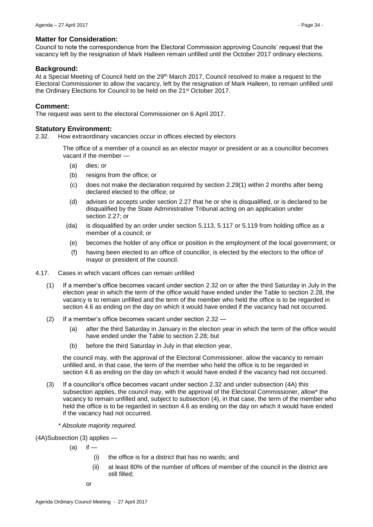#### **Matter for Consideration:**

Council to note the correspondence from the Electoral Commission approving Councils' request that the vacancy left by the resignation of Mark Halleen remain unfilled until the October 2017 ordinary elections.

#### **Background:**

At a Special Meeting of Council held on the 29<sup>th</sup> March 2017, Council resolved to make a request to the Electoral Commissioner to allow the vacancy, left by the resignation of Mark Halleen, to remain unfilled until the Ordinary Elections for Council to be held on the 21st October 2017.

#### **Comment:**

The request was sent to the electoral Commissioner on 6 April 2017.

#### **Statutory Environment:**

2.32. How extraordinary vacancies occur in offices elected by electors

The office of a member of a council as an elector mayor or president or as a councillor becomes vacant if the member —

- (a) dies; or
- (b) resigns from the office; or
- (c) does not make the declaration required by section 2.29(1) within 2 months after being declared elected to the office; or
- (d) advises or accepts under section 2.27 that he or she is disqualified, or is declared to be disqualified by the State Administrative Tribunal acting on an application under section 2.27; or
- (da) is disqualified by an order under section 5.113, 5.117 or 5.119 from holding office as a member of a council; or
- (e) becomes the holder of any office or position in the employment of the local government; or
- (f) having been elected to an office of councillor, is elected by the electors to the office of mayor or president of the council.
- 4.17. Cases in which vacant offices can remain unfilled
	- (1) If a member's office becomes vacant under section 2.32 on or after the third Saturday in July in the election year in which the term of the office would have ended under the Table to section 2.28, the vacancy is to remain unfilled and the term of the member who held the office is to be regarded in section 4.6 as ending on the day on which it would have ended if the vacancy had not occurred.
	- (2) If a member's office becomes vacant under section 2.32
		- (a) after the third Saturday in January in the election year in which the term of the office would have ended under the Table to section 2.28; but
		- (b) before the third Saturday in July in that election year,

the council may, with the approval of the Electoral Commissioner, allow the vacancy to remain unfilled and, in that case, the term of the member who held the office is to be regarded in section 4.6 as ending on the day on which it would have ended if the vacancy had not occurred.

- (3) If a councillor's office becomes vacant under section 2.32 and under subsection (4A) this subsection applies, the council may, with the approval of the Electoral Commissioner, allow\* the vacancy to remain unfilled and, subject to subsection (4), in that case, the term of the member who held the office is to be regarded in section 4.6 as ending on the day on which it would have ended if the vacancy had not occurred.
	- *\* Absolute majority required.*

(4A)Subsection (3) applies —

 $(a)$  if —

- (i) the office is for a district that has no wards; and
- (ii) at least 80% of the number of offices of member of the council in the district are still filled;

or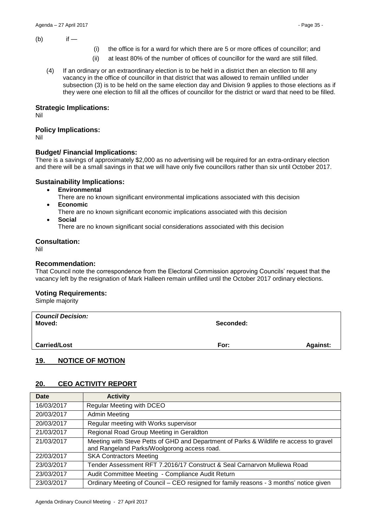$(b)$  if —

- (i) the office is for a ward for which there are 5 or more offices of councillor; and
- (ii) at least 80% of the number of offices of councillor for the ward are still filled.
- (4) If an ordinary or an extraordinary election is to be held in a district then an election to fill any vacancy in the office of councillor in that district that was allowed to remain unfilled under subsection (3) is to be held on the same election day and Division 9 applies to those elections as if they were one election to fill all the offices of councillor for the district or ward that need to be filled.

## **Strategic Implications:**

Nil

# **Policy Implications:**

Nil

# **Budget/ Financial Implications:**

There is a savings of approximately \$2,000 as no advertising will be required for an extra-ordinary election and there will be a small savings in that we will have only five councillors rather than six until October 2017.

# **Sustainability Implications:**

- **Environmental**
- There are no known significant environmental implications associated with this decision **Economic**
- There are no known significant economic implications associated with this decision
- **Social**
	- There are no known significant social considerations associated with this decision

## **Consultation:**

Nil

# **Recommendation:**

That Council note the correspondence from the Electoral Commission approving Councils' request that the vacancy left by the resignation of Mark Halleen remain unfilled until the October 2017 ordinary elections.

# **Voting Requirements:**

Simple majority

| <b>Council Decision:</b><br>Moved: | Seconded: |                 |
|------------------------------------|-----------|-----------------|
| <b>Carried/Lost</b>                | For:      | <b>Against:</b> |

# <span id="page-34-0"></span>**19. NOTICE OF MOTION**

# <span id="page-34-1"></span>**20. CEO ACTIVITY REPORT**

| <b>Date</b> | <b>Activity</b>                                                                                                                       |  |
|-------------|---------------------------------------------------------------------------------------------------------------------------------------|--|
| 16/03/2017  | Regular Meeting with DCEO                                                                                                             |  |
| 20/03/2017  | <b>Admin Meeting</b>                                                                                                                  |  |
| 20/03/2017  | Regular meeting with Works supervisor                                                                                                 |  |
| 21/03/2017  | Regional Road Group Meeting in Geraldton                                                                                              |  |
| 21/03/2017  | Meeting with Steve Petts of GHD and Department of Parks & Wildlife re access to gravel<br>and Rangeland Parks/Woolgorong access road. |  |
| 22/03/2017  | <b>SKA Contractors Meeting</b>                                                                                                        |  |
| 23/03/2017  | Tender Assessment RFT 7.2016/17 Construct & Seal Carnarvon Mullewa Road                                                               |  |
| 23/03/2017  | Audit Committee Meeting - Compliance Audit Return                                                                                     |  |
| 23/03/2017  | Ordinary Meeting of Council – CEO resigned for family reasons - 3 months' notice given                                                |  |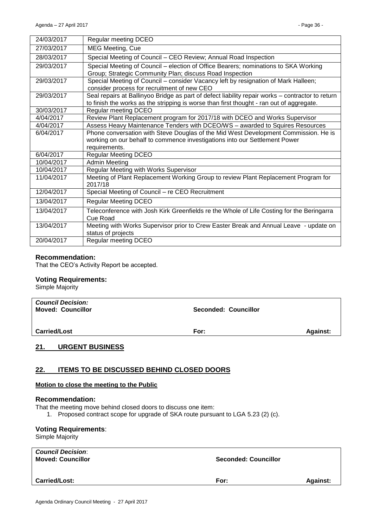| 24/03/2017 | Regular meeting DCEO                                                                                                                                                                         |
|------------|----------------------------------------------------------------------------------------------------------------------------------------------------------------------------------------------|
| 27/03/2017 | <b>MEG Meeting, Cue</b>                                                                                                                                                                      |
| 28/03/2017 | Special Meeting of Council - CEO Review; Annual Road Inspection                                                                                                                              |
| 29/03/2017 | Special Meeting of Council – election of Office Bearers; nominations to SKA Working<br>Group; Strategic Community Plan; discuss Road Inspection                                              |
| 29/03/2017 | Special Meeting of Council - consider Vacancy left by resignation of Mark Halleen;<br>consider process for recruitment of new CEO                                                            |
| 29/03/2017 | Seal repairs at Ballinyoo Bridge as part of defect liability repair works - contractor to return<br>to finish the works as the stripping is worse than first thought - ran out of aggregate. |
| 30/03/2017 | Regular meeting DCEO                                                                                                                                                                         |
| 4/04/2017  | Review Plant Replacement program for 2017/18 with DCEO and Works Supervisor                                                                                                                  |
| 4/04/2017  | Assess Heavy Maintenance Tenders with DCEO/WS - awarded to Squires Resources                                                                                                                 |
| 6/04/2017  | Phone conversation with Steve Douglas of the Mid West Development Commission. He is<br>working on our behalf to commence investigations into our Settlement Power<br>requirements.           |
| 6/04/2017  | <b>Regular Meeting DCEO</b>                                                                                                                                                                  |
| 10/04/2017 | <b>Admin Meeting</b>                                                                                                                                                                         |
| 10/04/2017 | Regular Meeting with Works Supervisor                                                                                                                                                        |
| 11/04/2017 | Meeting of Plant Replacement Working Group to review Plant Replacement Program for<br>2017/18                                                                                                |
| 12/04/2017 | Special Meeting of Council - re CEO Recruitment                                                                                                                                              |
| 13/04/2017 | <b>Regular Meeting DCEO</b>                                                                                                                                                                  |
| 13/04/2017 | Teleconference with Josh Kirk Greenfields re the Whole of Life Costing for the Beringarra<br>Cue Road                                                                                        |
| 13/04/2017 | Meeting with Works Supervisor prior to Crew Easter Break and Annual Leave - update on<br>status of projects                                                                                  |
| 20/04/2017 | Regular meeting DCEO                                                                                                                                                                         |

#### **Recommendation:**

That the CEO's Activity Report be accepted.

#### **Voting Requirements:**

Simple Majority

| <b>Council Decision:</b><br><b>Moved: Councillor</b> | <b>Seconded: Councillor</b> |                 |
|------------------------------------------------------|-----------------------------|-----------------|
| <b>Carried/Lost</b>                                  | For:                        | <b>Against:</b> |
|                                                      |                             |                 |

# <span id="page-35-0"></span>**21. URGENT BUSINESS**

# <span id="page-35-1"></span>**22. ITEMS TO BE DISCUSSED BEHIND CLOSED DOORS**

#### **Motion to close the meeting to the Public**

#### **Recommendation:**

That the meeting move behind closed doors to discuss one item:

1. Proposed contract scope for upgrade of SKA route pursuant to LGA 5.23 (2) (c).

## **Voting Requirements**:

Simple Majority

| <b>Council Decision:</b><br><b>Moved: Councillor</b> | <b>Seconded: Councillor</b> |                 |
|------------------------------------------------------|-----------------------------|-----------------|
| <b>Carried/Lost:</b>                                 | For:                        | <b>Against:</b> |